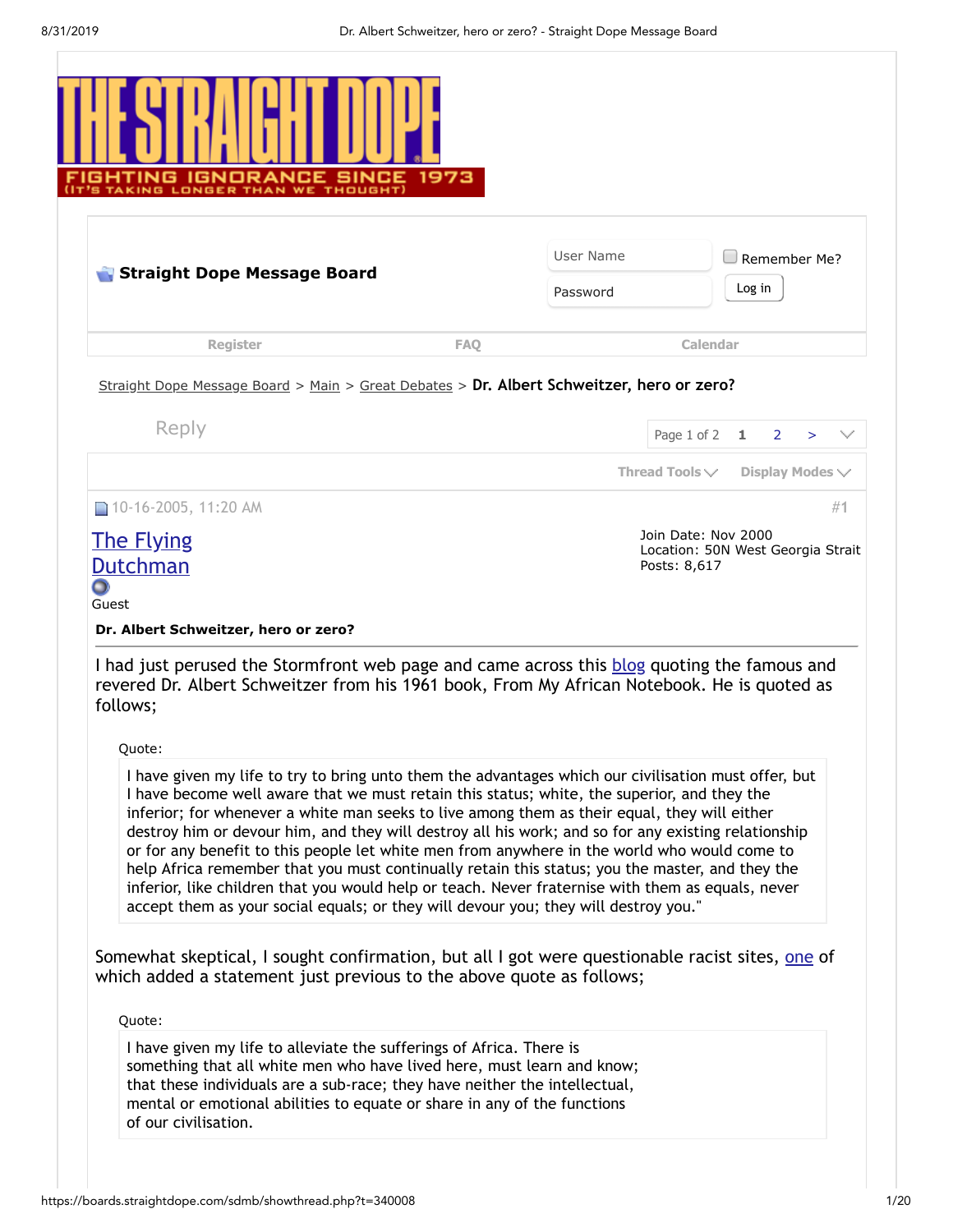<span id="page-0-0"></span>

|                                                                                                                                                                                                                                                                                                                                                                                                                                                                                                                                                                                                                                                                                                                                                                                                                                                                                                                                                                                                                                                                                                                   |            | User Name |                                                                          |        | Remember Me?         |
|-------------------------------------------------------------------------------------------------------------------------------------------------------------------------------------------------------------------------------------------------------------------------------------------------------------------------------------------------------------------------------------------------------------------------------------------------------------------------------------------------------------------------------------------------------------------------------------------------------------------------------------------------------------------------------------------------------------------------------------------------------------------------------------------------------------------------------------------------------------------------------------------------------------------------------------------------------------------------------------------------------------------------------------------------------------------------------------------------------------------|------------|-----------|--------------------------------------------------------------------------|--------|----------------------|
| Straight Dope Message Board                                                                                                                                                                                                                                                                                                                                                                                                                                                                                                                                                                                                                                                                                                                                                                                                                                                                                                                                                                                                                                                                                       |            | Password  |                                                                          | Log in |                      |
| <b>Register</b>                                                                                                                                                                                                                                                                                                                                                                                                                                                                                                                                                                                                                                                                                                                                                                                                                                                                                                                                                                                                                                                                                                   | <b>FAO</b> |           | Calendar                                                                 |        |                      |
| Straight Dope Message Board > Main > Great Debates > Dr. Albert Schweitzer, hero or zero?                                                                                                                                                                                                                                                                                                                                                                                                                                                                                                                                                                                                                                                                                                                                                                                                                                                                                                                                                                                                                         |            |           |                                                                          |        |                      |
| Reply                                                                                                                                                                                                                                                                                                                                                                                                                                                                                                                                                                                                                                                                                                                                                                                                                                                                                                                                                                                                                                                                                                             |            |           |                                                                          |        |                      |
|                                                                                                                                                                                                                                                                                                                                                                                                                                                                                                                                                                                                                                                                                                                                                                                                                                                                                                                                                                                                                                                                                                                   |            |           | Page 1 of 2                                                              | 1      | 2<br>$\geq$          |
|                                                                                                                                                                                                                                                                                                                                                                                                                                                                                                                                                                                                                                                                                                                                                                                                                                                                                                                                                                                                                                                                                                                   |            |           | Thread Tools $\vee$                                                      |        | Display Modes $\vee$ |
|                                                                                                                                                                                                                                                                                                                                                                                                                                                                                                                                                                                                                                                                                                                                                                                                                                                                                                                                                                                                                                                                                                                   |            |           | Join Date: Nov 2000<br>Location: 50N West Georgia Strait<br>Posts: 8,617 |        |                      |
|                                                                                                                                                                                                                                                                                                                                                                                                                                                                                                                                                                                                                                                                                                                                                                                                                                                                                                                                                                                                                                                                                                                   |            |           |                                                                          |        |                      |
| Quote:                                                                                                                                                                                                                                                                                                                                                                                                                                                                                                                                                                                                                                                                                                                                                                                                                                                                                                                                                                                                                                                                                                            |            |           |                                                                          |        |                      |
| <b>The Flying</b><br><b>Dutchman</b><br>O<br>Guest<br>Dr. Albert Schweitzer, hero or zero?<br>I had just perused the Stormfront web page and came across this blog quoting the famous and<br>revered Dr. Albert Schweitzer from his 1961 book, From My African Notebook. He is quoted as<br>follows;<br>I have given my life to try to bring unto them the advantages which our civilisation must offer, but<br>I have become well aware that we must retain this status; white, the superior, and they the<br>inferior; for whenever a white man seeks to live among them as their equal, they will either<br>destroy him or devour him, and they will destroy all his work; and so for any existing relationship<br>or for any benefit to this people let white men from anywhere in the world who would come to<br>help Africa remember that you must continually retain this status; you the master, and they the<br>inferior, like children that you would help or teach. Never fraternise with them as equals, never<br>accept them as your social equals; or they will devour you; they will destroy you." |            |           |                                                                          |        |                      |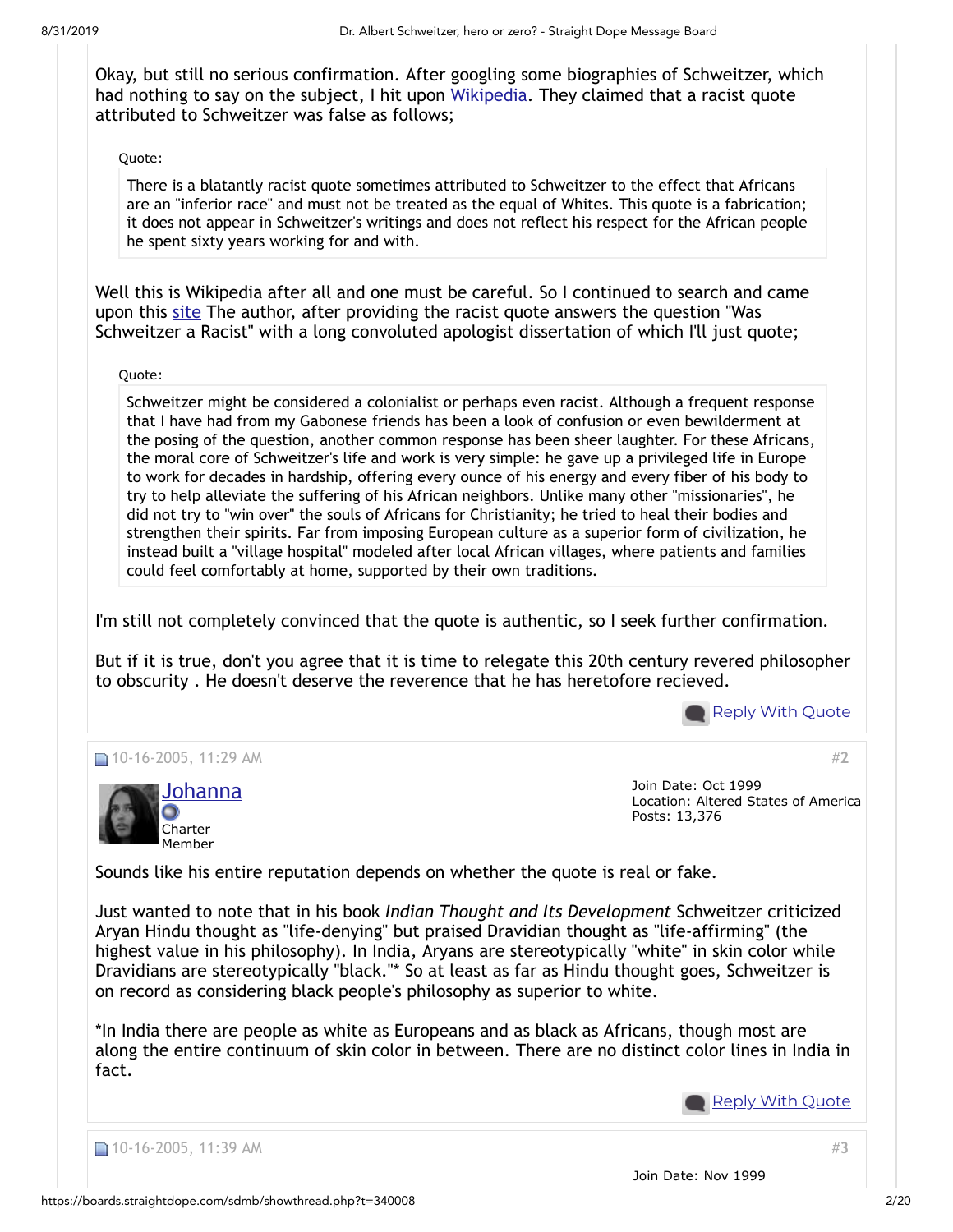Okay, but still no serious confirmation. After googling some biographies of Schweitzer, which had nothing to say on the subject, I hit upon [Wikipedia.](http://en.wikipedia.org/wiki/Albert_Schweitzer) They claimed that a racist quote attributed to Schweitzer was false as follows;

### Quote:

There is a blatantly racist quote sometimes attributed to Schweitzer to the effect that Africans are an "inferior race" and must not be treated as the equal of Whites. This quote is a fabrication; it does not appear in Schweitzer's writings and does not reflect his respect for the African people he spent sixty years working for and with.

Well this is Wikipedia after all and one must be careful. So I continued to search and came upon this [site](http://www.schweitzer.org/english/diverse/asefaq.htm) The author, after providing the racist quote answers the question "Was Schweitzer a Racist" with a long convoluted apologist dissertation of which I'll just quote;

Quote:

Schweitzer might be considered a colonialist or perhaps even racist. Although a frequent response that I have had from my Gabonese friends has been a look of confusion or even bewilderment at the posing of the question, another common response has been sheer laughter. For these Africans, the moral core of Schweitzer's life and work is very simple: he gave up a privileged life in Europe to work for decades in hardship, offering every ounce of his energy and every fiber of his body to try to help alleviate the suffering of his African neighbors. Unlike many other "missionaries", he did not try to "win over" the souls of Africans for Christianity; he tried to heal their bodies and strengthen their spirits. Far from imposing European culture as a superior form of civilization, he instead built a "village hospital" modeled after local African villages, where patients and families could feel comfortably at home, supported by their own traditions.

I'm still not completely convinced that the quote is authentic, so I seek further confirmation.

But if it is true, don't you agree that it is time to relegate this 20th century revered philosopher to obscurity . He doesn't deserve the reverence that he has heretofore recieved.

<u>Reply With [Quote](https://boards.straightdope.com/sdmb/newreply.php?do=newreply&p=6691594)</u>

#**[2](https://boards.straightdope.com/sdmb/showpost.php?p=6691610&postcount=2)**





Join Date: Oct 1999 Location: Altered States of America Posts: 13,376

Sounds like his entire reputation depends on whether the quote is real or fake.

Just wanted to note that in his book *Indian Thought and Its Development* Schweitzer criticized Aryan Hindu thought as "life-denying" but praised Dravidian thought as "life-affirming" (the highest value in his philosophy). In India, Aryans are stereotypically "white" in skin color while Dravidians are stereotypically "black."\* So at least as far as Hindu thought goes, Schweitzer is on record as considering black people's philosophy as superior to white.

\*In India there are people as white as Europeans and as black as Africans, though most are along the entire continuum of skin color in between. There are no distinct color lines in India in fact.

**Reply With [Quote](https://boards.straightdope.com/sdmb/newreply.php?do=newreply&p=6691610)** 



#**[3](https://boards.straightdope.com/sdmb/showpost.php?p=6691640&postcount=3)**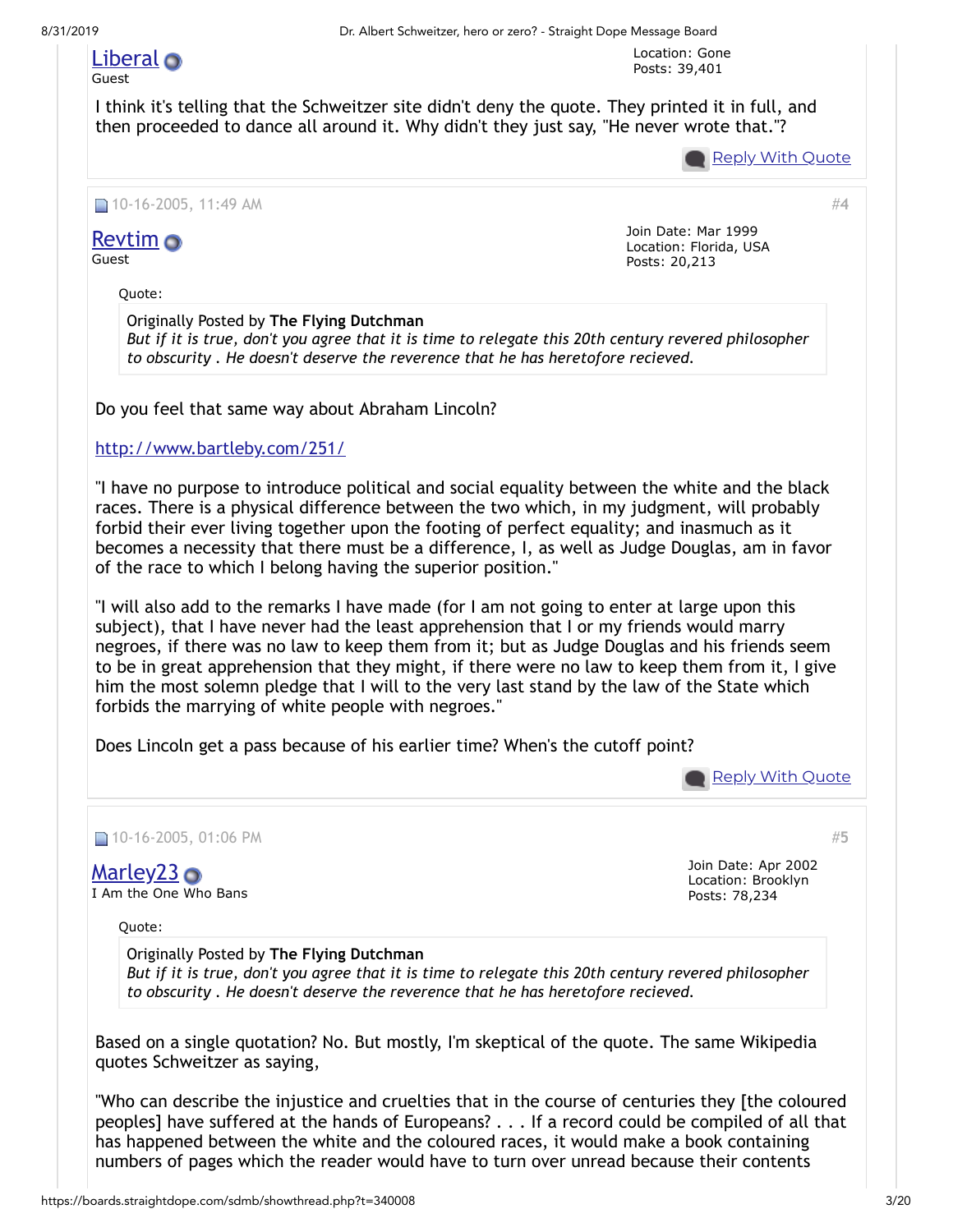## [Liberal](https://boards.straightdope.com/sdmb/member.php?u=3284)

8/31/2019 Dr. Albert Schweitzer, hero or zero? - Straight Dope Message Board

Location: Gone Posts: 39,401

#### Guest

I think it's telling that the Schweitzer site didn't deny the quote. They printed it in full, and then proceeded to dance all around it. Why didn't they just say, "He never wrote that."?

Reply With [Quote](https://boards.straightdope.com/sdmb/newreply.php?do=newreply&p=6691640)

#**[4](https://boards.straightdope.com/sdmb/showpost.php?p=6691670&postcount=4)**

#### ■ 10-16-2005, 11:49 AM

**[Revtim](https://boards.straightdope.com/sdmb/member.php?u=300)** o Guest

Quote:

Join Date: Mar 1999 Location: Florida, USA Posts: 20,213

Originally Posted by **The Flying Dutchman** *But if it is true, don't you agree that it is time to relegate this 20th century revered philosopher to obscurity . He doesn't deserve the reverence that he has heretofore recieved.*

Do you feel that same way about Abraham Lincoln?

### <http://www.bartleby.com/251/>

"I have no purpose to introduce political and social equality between the white and the black races. There is a physical difference between the two which, in my judgment, will probably forbid their ever living together upon the footing of perfect equality; and inasmuch as it becomes a necessity that there must be a difference, I, as well as Judge Douglas, am in favor of the race to which I belong having the superior position."

"I will also add to the remarks I have made (for I am not going to enter at large upon this subject), that I have never had the least apprehension that I or my friends would marry negroes, if there was no law to keep them from it; but as Judge Douglas and his friends seem to be in great apprehension that they might, if there were no law to keep them from it, I give him the most solemn pledge that I will to the very last stand by the law of the State which forbids the marrying of white people with negroes."

Does Lincoln get a pass because of his earlier time? When's the cutoff point?

**Reply With [Quote](https://boards.straightdope.com/sdmb/newreply.php?do=newreply&p=6691670)** 

Join Date: Apr 2002

#**[5](https://boards.straightdope.com/sdmb/showpost.php?p=6691849&postcount=5)**

■ 10-16-2005, 01:06 PM

[Marley23](https://boards.straightdope.com/sdmb/member.php?u=21437) **O** I Am the One Who Bans

Quote:

Location: Brooklyn Posts: 78,234

Originally Posted by **The Flying Dutchman**

*But if it is true, don't you agree that it is time to relegate this 20th century revered philosopher to obscurity . He doesn't deserve the reverence that he has heretofore recieved.*

Based on a single quotation? No. But mostly, I'm skeptical of the quote. The same Wikipedia quotes Schweitzer as saying,

"Who can describe the injustice and cruelties that in the course of centuries they [the coloured peoples] have suffered at the hands of Europeans? . . . If a record could be compiled of all that has happened between the white and the coloured races, it would make a book containing numbers of pages which the reader would have to turn over unread because their contents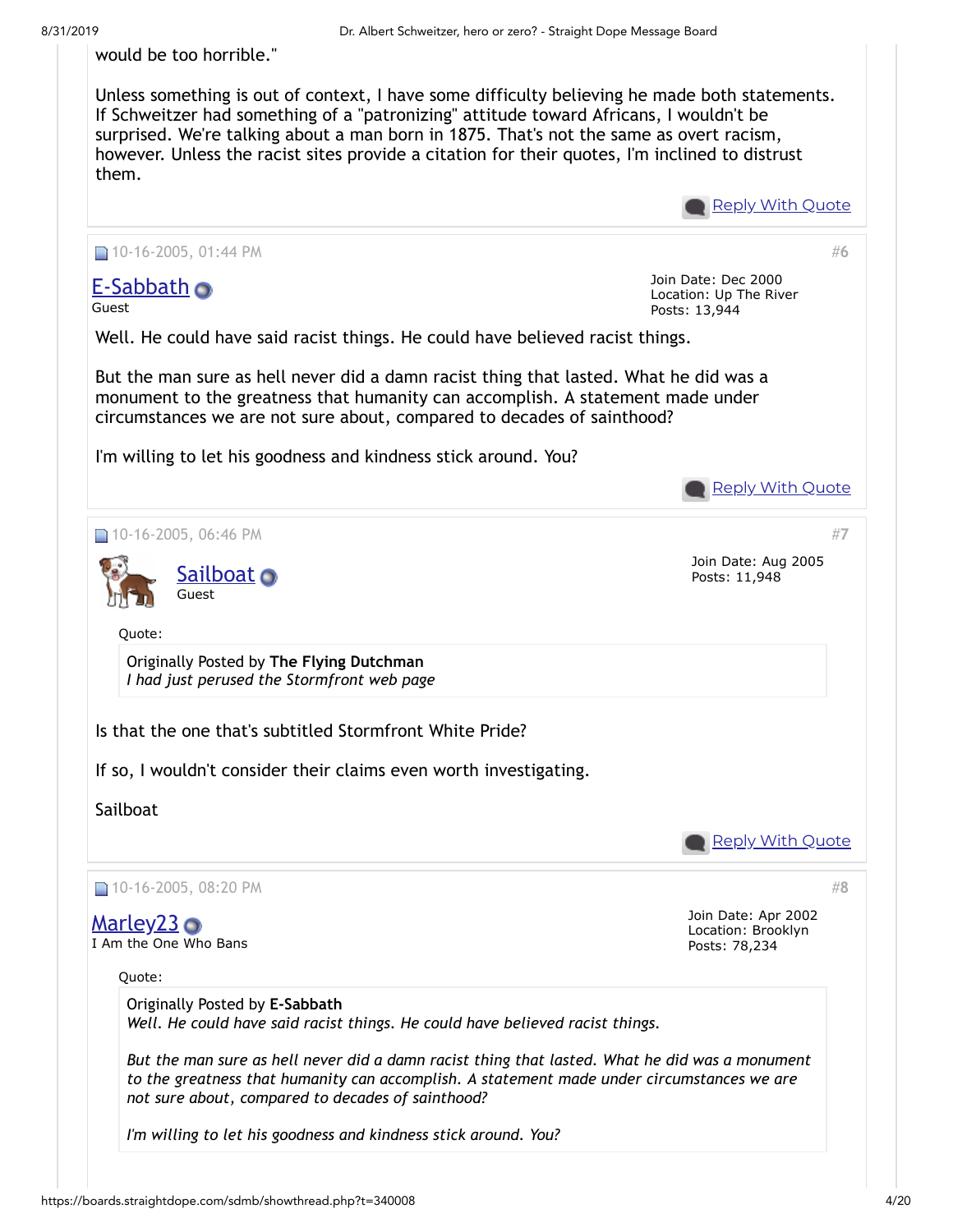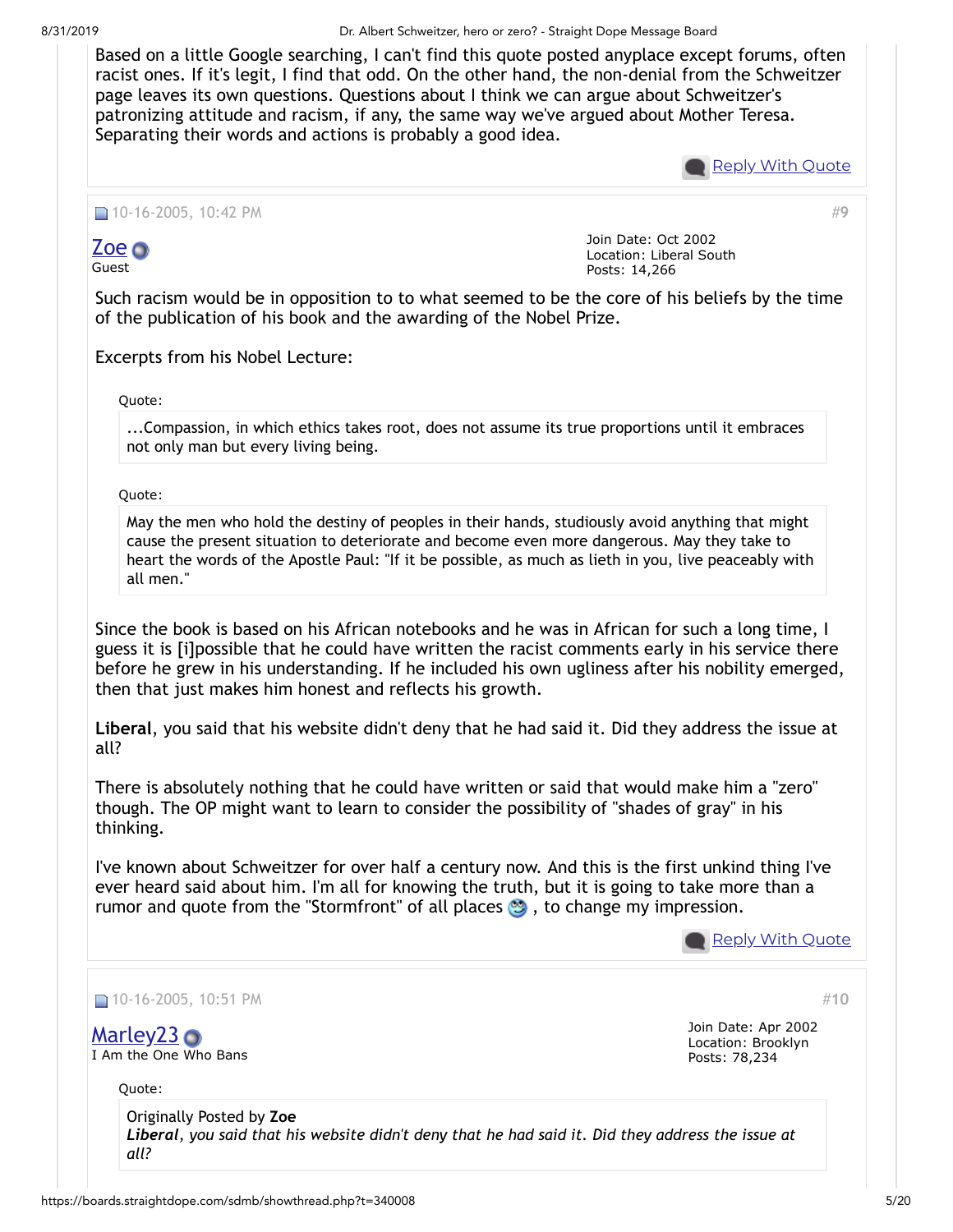8/31/2019 Dr. Albert Schweitzer, hero or zero? - Straight Dope Message Board

Based on a little Google searching, I can't find this quote posted anyplace except forums, often racist ones. If it's legit, I find that odd. On the other hand, the non-denial from the Schweitzer page leaves its own questions. Questions about I think we can argue about Schweitzer's patronizing attitude and racism, if any, the same way we've argued about Mother Teresa. Separating their words and actions is probably a good idea.



#**[9](https://boards.straightdope.com/sdmb/showpost.php?p=6692959&postcount=9)**

■ 10-16-2005, 10:42 PM

[Zoe](https://boards.straightdope.com/sdmb/member.php?u=26189) o

Guest

Join Date: Oct 2002 Location: Liberal South Posts: 14,266

Such racism would be in opposition to to what seemed to be the core of his beliefs by the time of the publication of his book and the awarding of the Nobel Prize.

Excerpts from his Nobel Lecture:

Quote:

...Compassion, in which ethics takes root, does not assume its true proportions until it embraces not only man but every living being.

Quote:

May the men who hold the destiny of peoples in their hands, studiously avoid anything that might cause the present situation to deteriorate and become even more dangerous. May they take to heart the words of the Apostle Paul: "If it be possible, as much as lieth in you, live peaceably with all men."

Since the book is based on his African notebooks and he was in African for such a long time, I guess it is [i]possible that he could have written the racist comments early in his service there before he grew in his understanding. If he included his own ugliness after his nobility emerged, then that just makes him honest and reflects his growth.

**Liberal**, you said that his website didn't deny that he had said it. Did they address the issue at all?

There is absolutely nothing that he could have written or said that would make him a "zero" though. The OP might want to learn to consider the possibility of "shades of gray" in his thinking.

I've known about Schweitzer for over half a century now. And this is the first unkind thing I've ever heard said about him. I'm all for knowing the truth, but it is going to take more than a rumor and quote from the "Stormfront" of all places  $\bullet$ , to change my impression.

**Reply With [Quote](https://boards.straightdope.com/sdmb/newreply.php?do=newreply&p=6692959)** 

#**[10](https://boards.straightdope.com/sdmb/showpost.php?p=6692985&postcount=10)**

10-16-2005, 10:51 PM

[Marley23](https://boards.straightdope.com/sdmb/member.php?u=21437) **O** I Am the One Who Bans Join Date: Apr 2002 Location: Brooklyn Posts: 78,234

Quote:

Originally Posted by **Zoe** *Liberal, you said that his website didn't deny that he had said it. Did they address the issue at all?*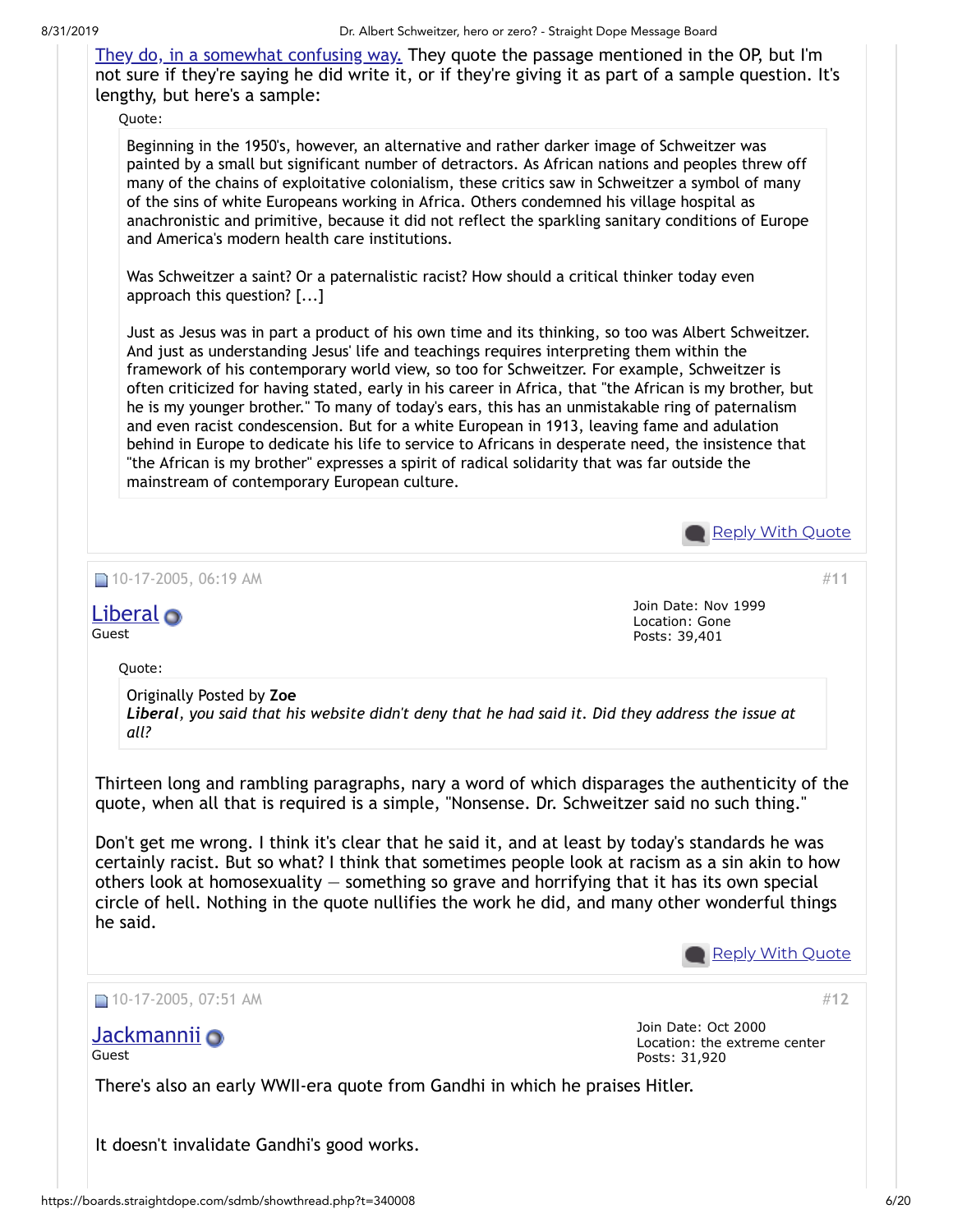8/31/2019 Dr. Albert Schweitzer, hero or zero? - Straight Dope Message Board

[They do, in a somewhat confusing way.](http://www.schweitzer.org/english/diverse/asefaq.htm) They quote the passage mentioned in the OP, but I'm not sure if they're saying he did write it, or if they're giving it as part of a sample question. It's lengthy, but here's a sample:

Quote:

Beginning in the 1950's, however, an alternative and rather darker image of Schweitzer was painted by a small but significant number of detractors. As African nations and peoples threw off many of the chains of exploitative colonialism, these critics saw in Schweitzer a symbol of many of the sins of white Europeans working in Africa. Others condemned his village hospital as anachronistic and primitive, because it did not reflect the sparkling sanitary conditions of Europe and America's modern health care institutions.

Was Schweitzer a saint? Or a paternalistic racist? How should a critical thinker today even approach this question? [...]

Just as Jesus was in part a product of his own time and its thinking, so too was Albert Schweitzer. And just as understanding Jesus' life and teachings requires interpreting them within the framework of his contemporary world view, so too for Schweitzer. For example, Schweitzer is often criticized for having stated, early in his career in Africa, that "the African is my brother, but he is my younger brother." To many of today's ears, this has an unmistakable ring of paternalism and even racist condescension. But for a white European in 1913, leaving fame and adulation behind in Europe to dedicate his life to service to Africans in desperate need, the insistence that "the African is my brother" expresses a spirit of radical solidarity that was far outside the mainstream of contemporary European culture.



It doesn't invalidate Gandhi's good works.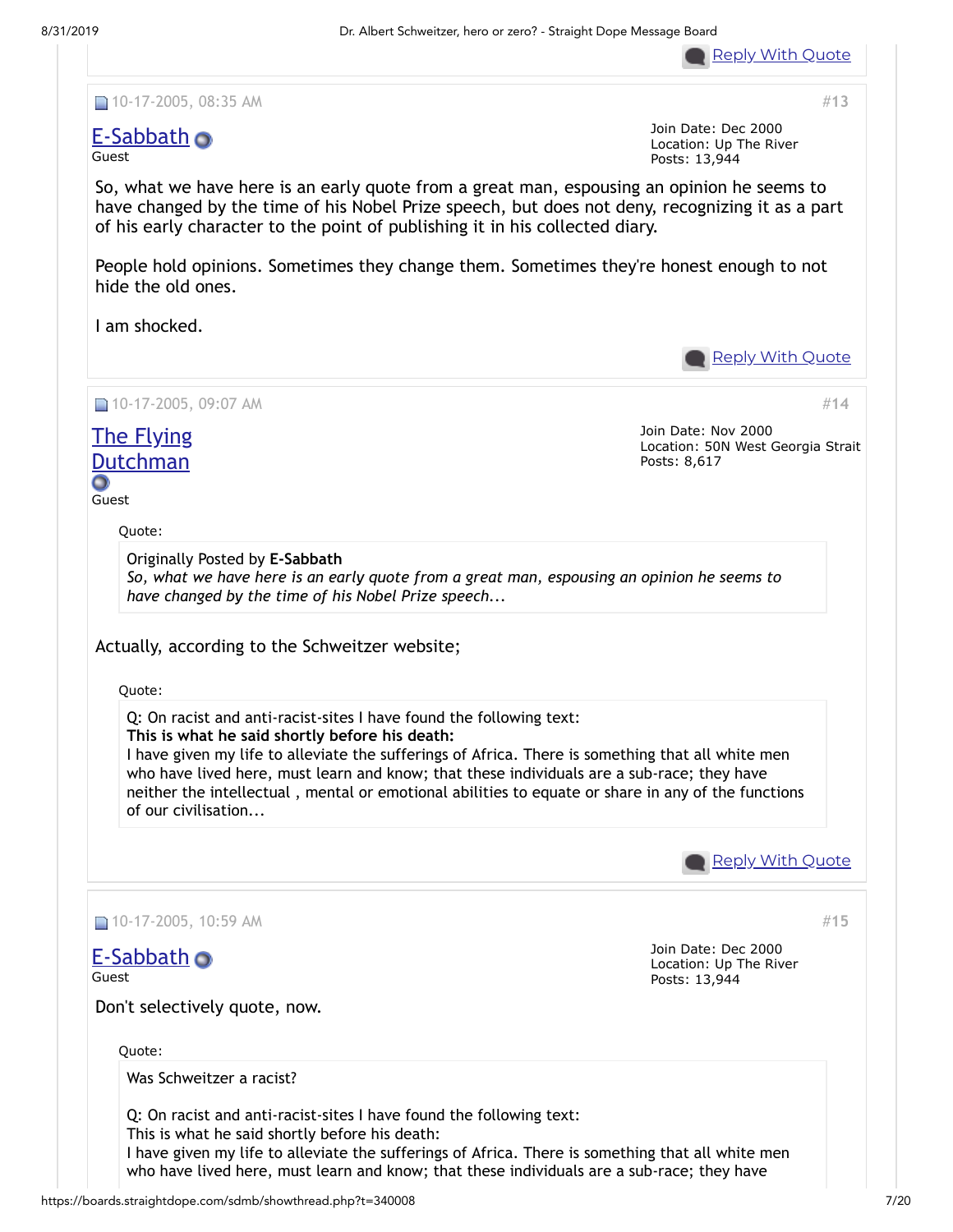

#**[13](https://boards.straightdope.com/sdmb/showpost.php?p=6693631&postcount=13)**

■ 10-17-2005, 08:35 AM

## [E-Sabbath](https://boards.straightdope.com/sdmb/member.php?u=11560)

Guest

Join Date: Dec 2000 Location: Up The River Posts: 13,944

So, what we have here is an early quote from a great man, espousing an opinion he seems to have changed by the time of his Nobel Prize speech, but does not deny, recognizing it as a part of his early character to the point of publishing it in his collected diary.

People hold opinions. Sometimes they change them. Sometimes they're honest enough to not hide the old ones.

I am shocked.

**Reply With [Quote](https://boards.straightdope.com/sdmb/newreply.php?do=newreply&p=6693631)** ■ 10-17-2005, 09:07 AM #**[14](https://boards.straightdope.com/sdmb/showpost.php?p=6693701&postcount=14)** Join Date: Nov 2000 The Flying Location: 50N West Georgia Strait **[Dutchman](https://boards.straightdope.com/sdmb/member.php?u=11131)** Posts: 8,617 Ο Guest Quote: Originally Posted by **E-Sabbath** *So, what we have here is an early quote from a great man, espousing an opinion he seems to have changed by the time of his Nobel Prize speech...* Actually, according to the Schweitzer website; Quote: Q: On racist and anti-racist-sites I have found the following text: **This is what he said shortly before his death:** I have given my life to alleviate the sufferings of Africa. There is something that all white men who have lived here, must learn and know; that these individuals are a sub-race; they have neither the intellectual , mental or emotional abilities to equate or share in any of the functions of our civilisation... **Reply With [Quote](https://boards.straightdope.com/sdmb/newreply.php?do=newreply&p=6693701)** 10-17-2005, 10:59 AM #**[15](https://boards.straightdope.com/sdmb/showpost.php?p=6694085&postcount=15)** Join Date: Dec 2000 [E-Sabbath](https://boards.straightdope.com/sdmb/member.php?u=11560) Location: Up The River Guest Posts: 13,944 Don't selectively quote, now. Quote: Was Schweitzer a racist? Q: On racist and anti-racist-sites I have found the following text: This is what he said shortly before his death: I have given my life to alleviate the sufferings of Africa. There is something that all white men who have lived here, must learn and know; that these individuals are a sub-race; they havehttps://boards.straightdope.com/sdmb/showthread.php?t=340008 7/20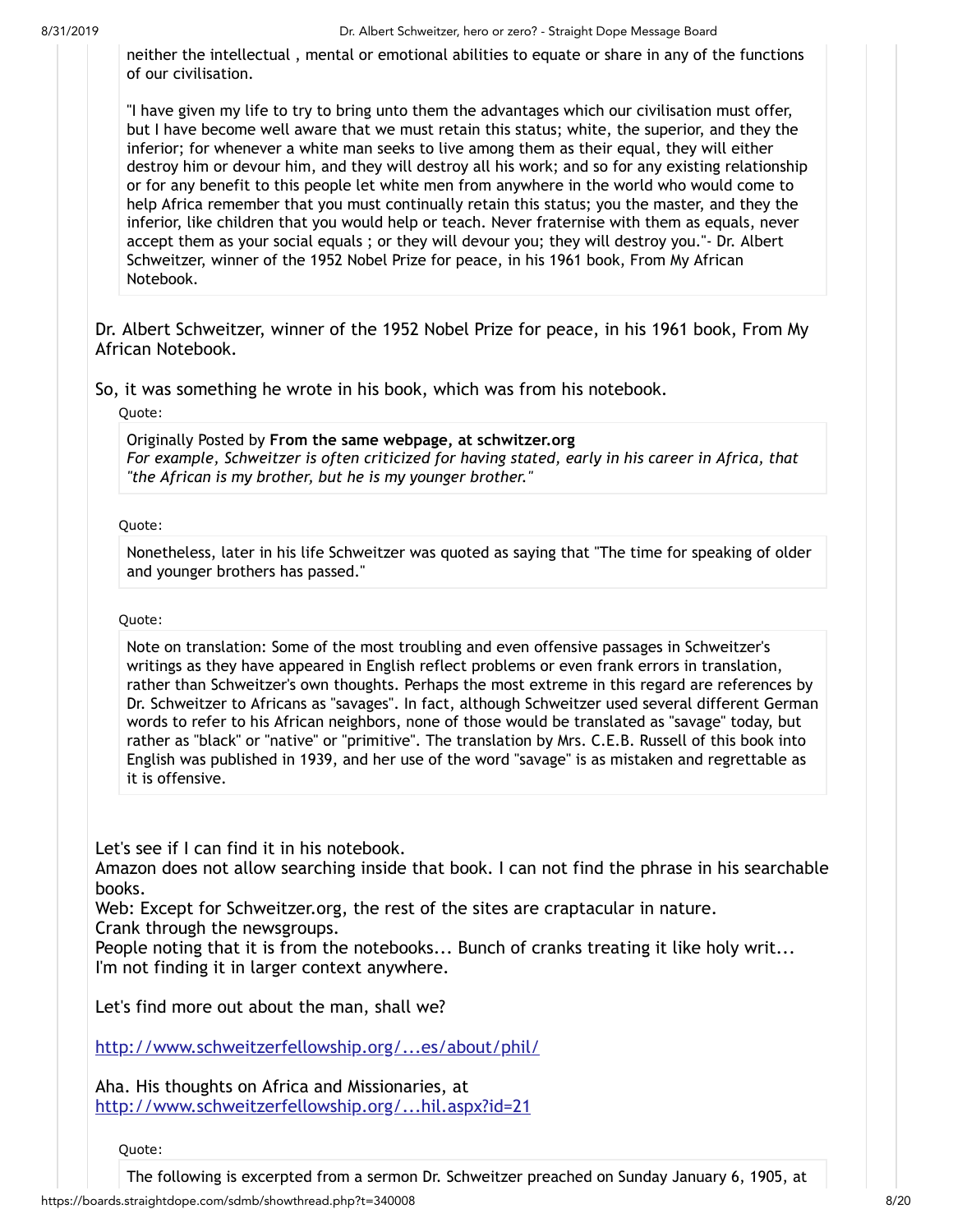neither the intellectual , mental or emotional abilities to equate or share in any of the functions of our civilisation.

"I have given my life to try to bring unto them the advantages which our civilisation must offer, but I have become well aware that we must retain this status; white, the superior, and they the inferior; for whenever a white man seeks to live among them as their equal, they will either destroy him or devour him, and they will destroy all his work; and so for any existing relationship or for any benefit to this people let white men from anywhere in the world who would come to help Africa remember that you must continually retain this status; you the master, and they the inferior, like children that you would help or teach. Never fraternise with them as equals, never accept them as your social equals ; or they will devour you; they will destroy you."- Dr. Albert Schweitzer, winner of the 1952 Nobel Prize for peace, in his 1961 book, From My African Notebook.

Dr. Albert Schweitzer, winner of the 1952 Nobel Prize for peace, in his 1961 book, From My African Notebook.

So, it was something he wrote in his book, which was from his notebook.

Quote:

Originally Posted by **From the same webpage, at schwitzer.org** *For example, Schweitzer is often criticized for having stated, early in his career in Africa, that "the African is my brother, but he is my younger brother."*

### Quote:

Nonetheless, later in his life Schweitzer was quoted as saying that "The time for speaking of older and younger brothers has passed."

#### Quote:

Note on translation: Some of the most troubling and even offensive passages in Schweitzer's writings as they have appeared in English reflect problems or even frank errors in translation, rather than Schweitzer's own thoughts. Perhaps the most extreme in this regard are references by Dr. Schweitzer to Africans as "savages". In fact, although Schweitzer used several different German words to refer to his African neighbors, none of those would be translated as "savage" today, but rather as "black" or "native" or "primitive". The translation by Mrs. C.E.B. Russell of this book into English was published in 1939, and her use of the word "savage" is as mistaken and regrettable as it is offensive.

Let's see if I can find it in his notebook.

Amazon does not allow searching inside that book. I can not find the phrase in his searchable books.

Web: Except for Schweitzer.org, the rest of the sites are craptacular in nature.

Crank through the newsgroups.

People noting that it is from the notebooks... Bunch of cranks treating it like holy writ... I'm not finding it in larger context anywhere.

Let's find more out about the man, shall we?

[http://www.schweitzerfellowship.org/...es/about/phil/](http://www.schweitzerfellowship.org/features/about/phil/)

Aha. His thoughts on Africa and Missionaries, at [http://www.schweitzerfellowship.org/...hil.aspx?id=21](http://www.schweitzerfellowship.org/features/about/phil/phil.aspx?id=21)

Quote: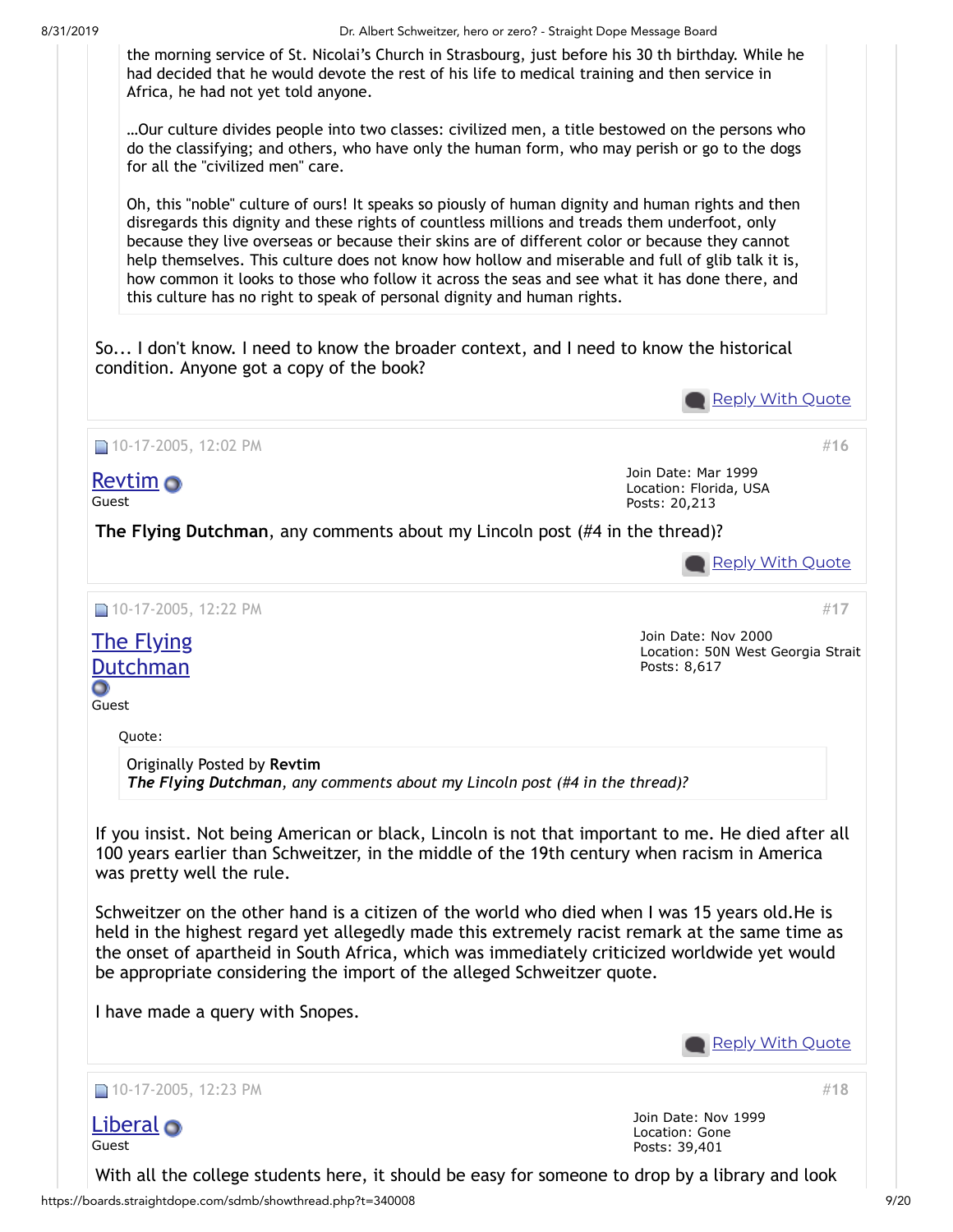

…Our culture divides people into two classes: civilized men, a title bestowed on the persons who do the classifying; and others, who have only the human form, who may perish or go to the dogs for all the "civilized men" care.

Oh, this "noble" culture of ours! It speaks so piously of human dignity and human rights and then disregards this dignity and these rights of countless millions and treads them underfoot, only because they live overseas or because their skins are of different color or because they cannot help themselves. This culture does not know how hollow and miserable and full of glib talk it is, how common it looks to those who follow it across the seas and see what it has done there, and this culture has no right to speak of personal dignity and human rights.

So... I don't know. I need to know the broader context, and I need to know the historical condition. Anyone got a copy of the book?

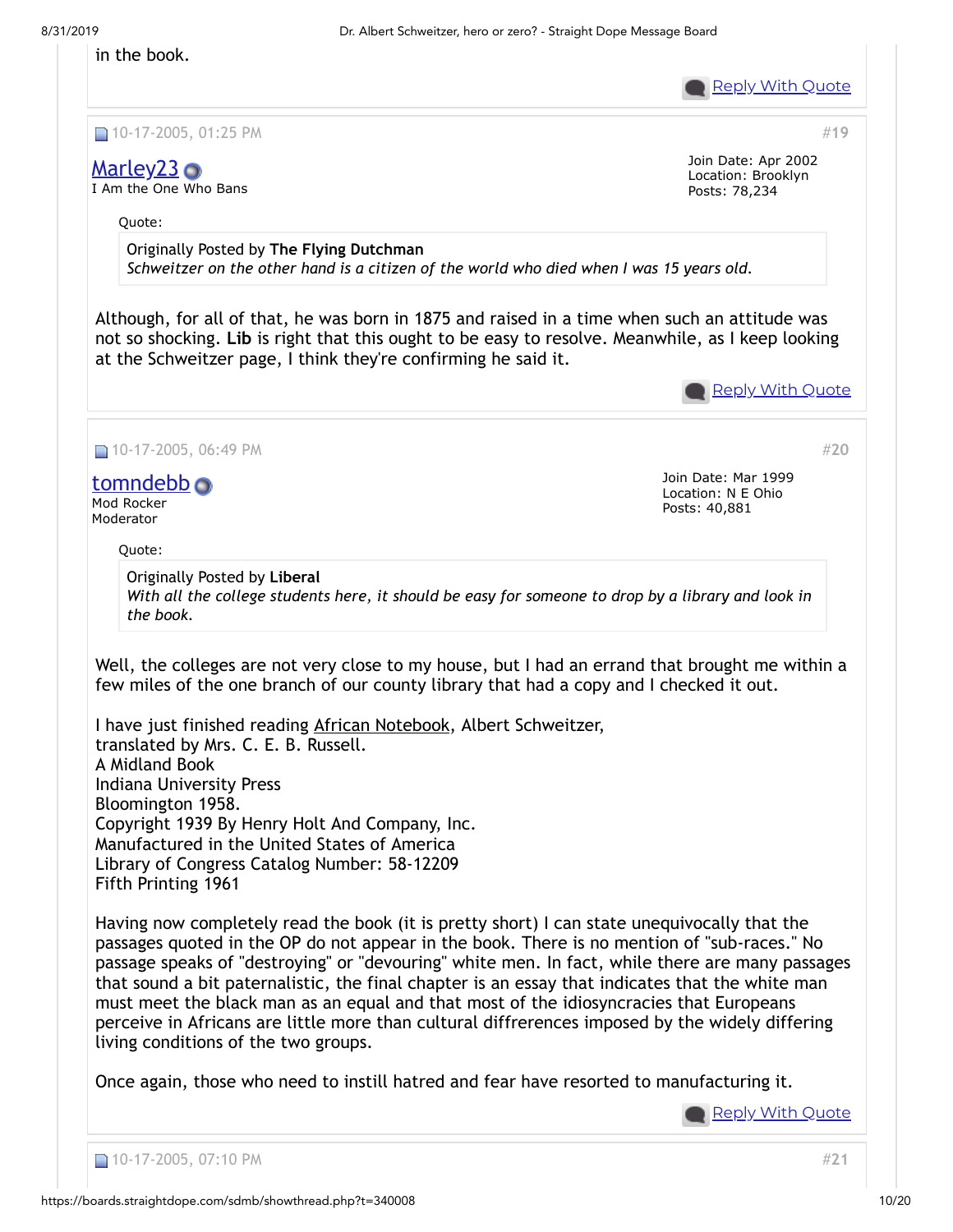**Reply With [Quote](https://boards.straightdope.com/sdmb/newreply.php?do=newreply&p=6694465)** 

#**[19](https://boards.straightdope.com/sdmb/showpost.php?p=6694689&postcount=19)**

#**[20](https://boards.straightdope.com/sdmb/showpost.php?p=6695719&postcount=20)**

10-17-2005, 01:25 PM

# [Marley23](https://boards.straightdope.com/sdmb/member.php?u=21437) **O**

in the book.

I Am the One Who Bans

Join Date: Apr 2002 Location: Brooklyn Posts: 78,234

Quote:

Originally Posted by **The Flying Dutchman** *Schweitzer on the other hand is a citizen of the world who died when I was 15 years old.*

Although, for all of that, he was born in 1875 and raised in a time when such an attitude was not so shocking. **Lib** is right that this ought to be easy to resolve. Meanwhile, as I keep looking at the Schweitzer page, I think they're confirming he said it.



■ 10-17-2005, 06:49 PM

## [tomndebb](https://boards.straightdope.com/sdmb/member.php?u=82)

Mod Rocker Moderator

Quote:

Join Date: Mar 1999 Location: N E Ohio Posts: 40,881

Originally Posted by **Liberal** *With all the college students here, it should be easy for someone to drop by a library and look in the book.*

Well, the colleges are not very close to my house, but I had an errand that brought me within a few miles of the one branch of our county library that had a copy and I checked it out.

I have just finished reading African Notebook, Albert Schweitzer, translated by Mrs. C. E. B. Russell. A Midland Book Indiana University Press Bloomington 1958. Copyright 1939 By Henry Holt And Company, Inc. Manufactured in the United States of America Library of Congress Catalog Number: 58-12209 Fifth Printing 1961

Having now completely read the book (it is pretty short) I can state unequivocally that the passages quoted in the OP do not appear in the book. There is no mention of "sub-races." No passage speaks of "destroying" or "devouring" white men. In fact, while there are many passages that sound a bit paternalistic, the final chapter is an essay that indicates that the white man must meet the black man as an equal and that most of the idiosyncracies that Europeans perceive in Africans are little more than cultural diffrerences imposed by the widely differing living conditions of the two groups.

Once again, those who need to instill hatred and fear have resorted to manufacturing it.

**Reply With [Quote](https://boards.straightdope.com/sdmb/newreply.php?do=newreply&p=6695719)**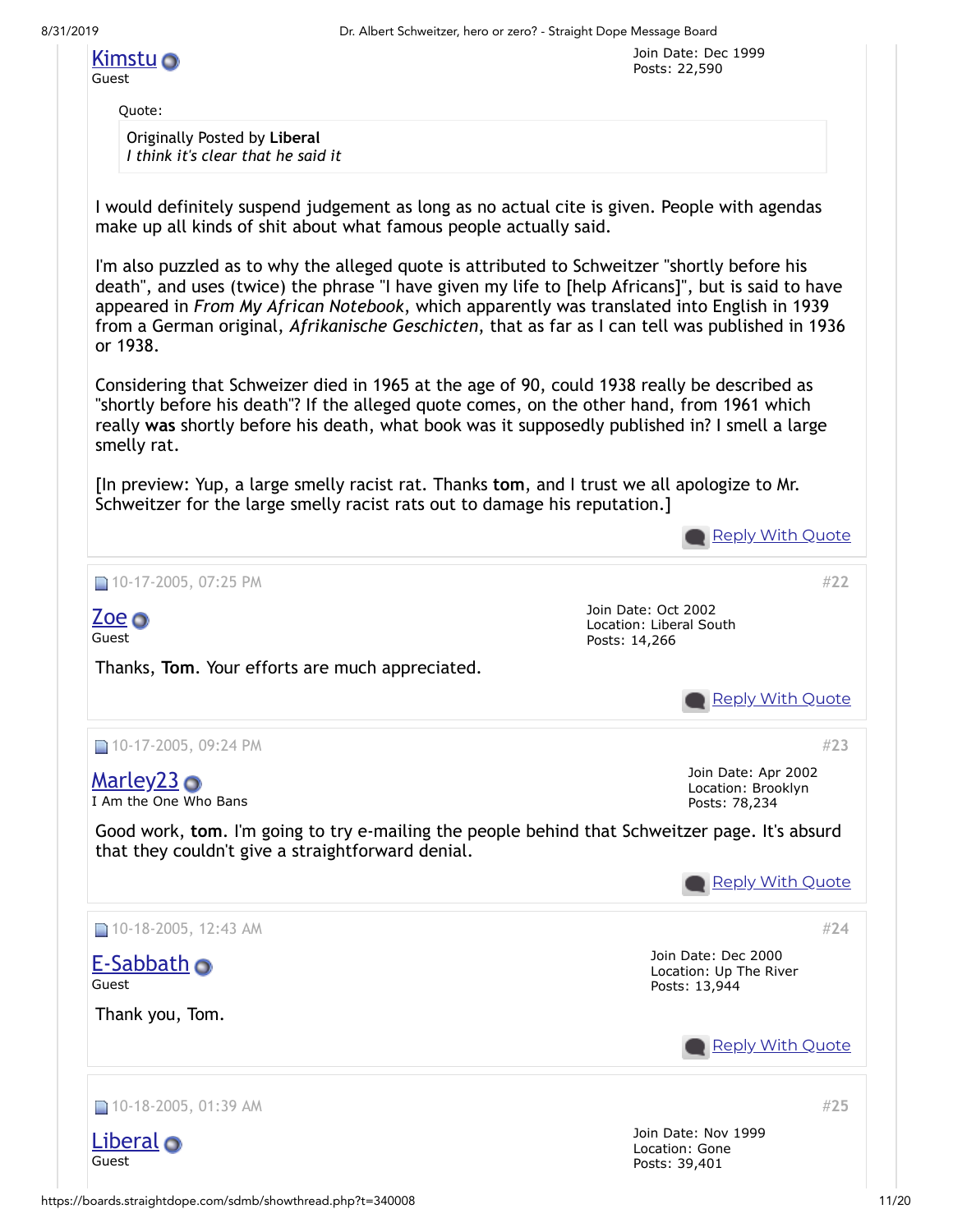Guest

Quote:

Originally Posted by **Liberal** *I think it's clear that he said it*

I would definitely suspend judgement as long as no actual cite is given. People with agendas make up all kinds of shit about what famous people actually said.

I'm also puzzled as to why the alleged quote is attributed to Schweitzer "shortly before his death", and uses (twice) the phrase "I have given my life to [help Africans]", but is said to have appeared in *From My African Notebook*, which apparently was translated into English in 1939 from a German original, *Afrikanische Geschicten*, that as far as I can tell was published in 1936 or 1938.

Considering that Schweizer died in 1965 at the age of 90, could 1938 really be described as "shortly before his death"? If the alleged quote comes, on the other hand, from 1961 which really **was** shortly before his death, what book was it supposedly published in? I smell a large smelly rat.

[In preview: Yup, a large smelly racist rat. Thanks **tom**, and I trust we all apologize to Mr. Schweitzer for the large smelly racist rats out to damage his reputation.]

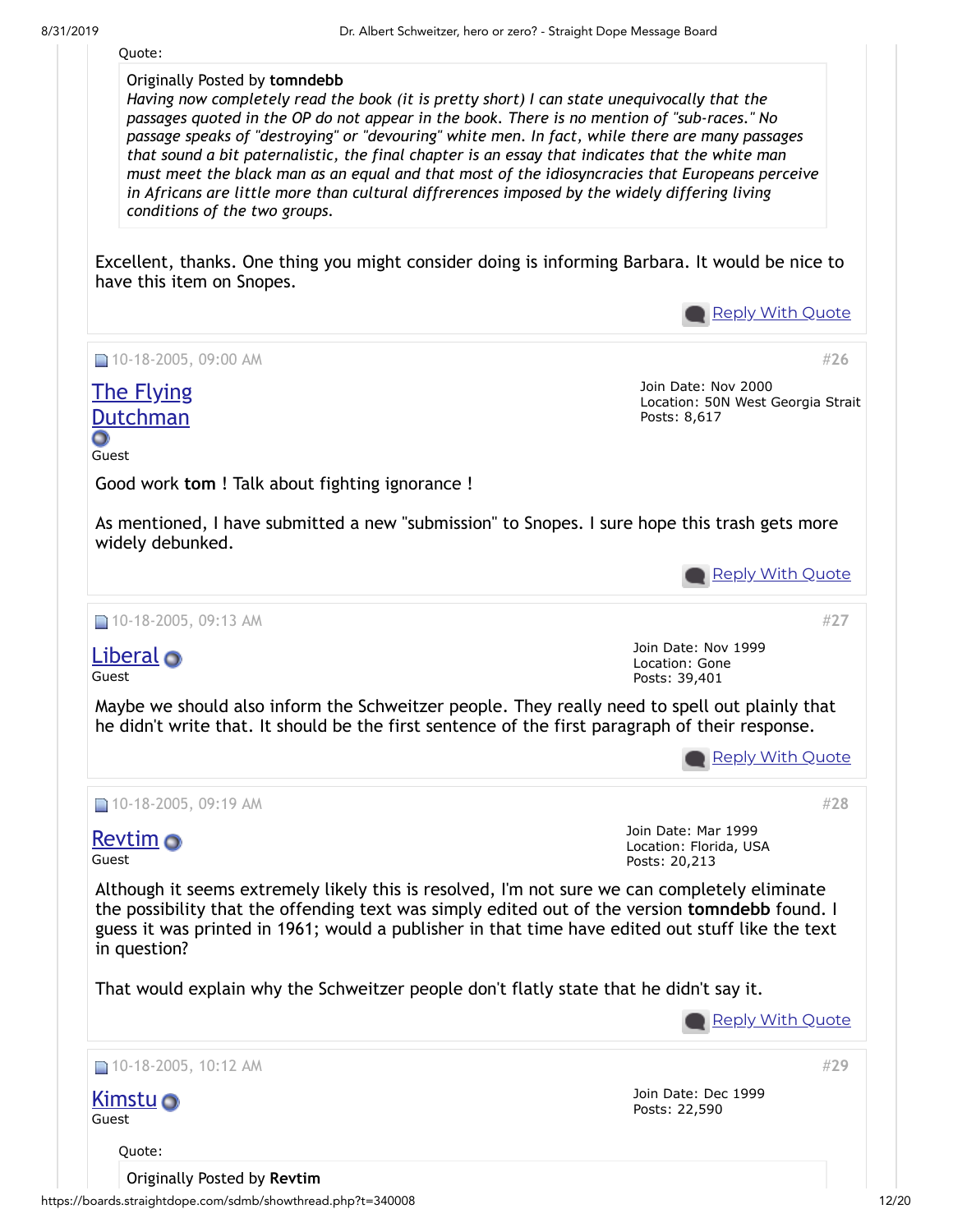Quote:

Originally Posted by **tomndebb**

*Having now completely read the book (it is pretty short) I can state unequivocally that the passages quoted in the OP do not appear in the book. There is no mention of "sub-races." No passage speaks of "destroying" or "devouring" white men. In fact, while there are many passages that sound a bit paternalistic, the final chapter is an essay that indicates that the white man must meet the black man as an equal and that most of the idiosyncracies that Europeans perceive in Africans are little more than cultural diffrerences imposed by the widely differing living conditions of the two groups.*

Excellent, thanks. One thing you might consider doing is informing Barbara. It would be nice to have this item on Snopes.



https://boards.straightdope.com/sdmb/showthread.php?t=340008 12/20 Originally Posted by **Revtim**

Quote: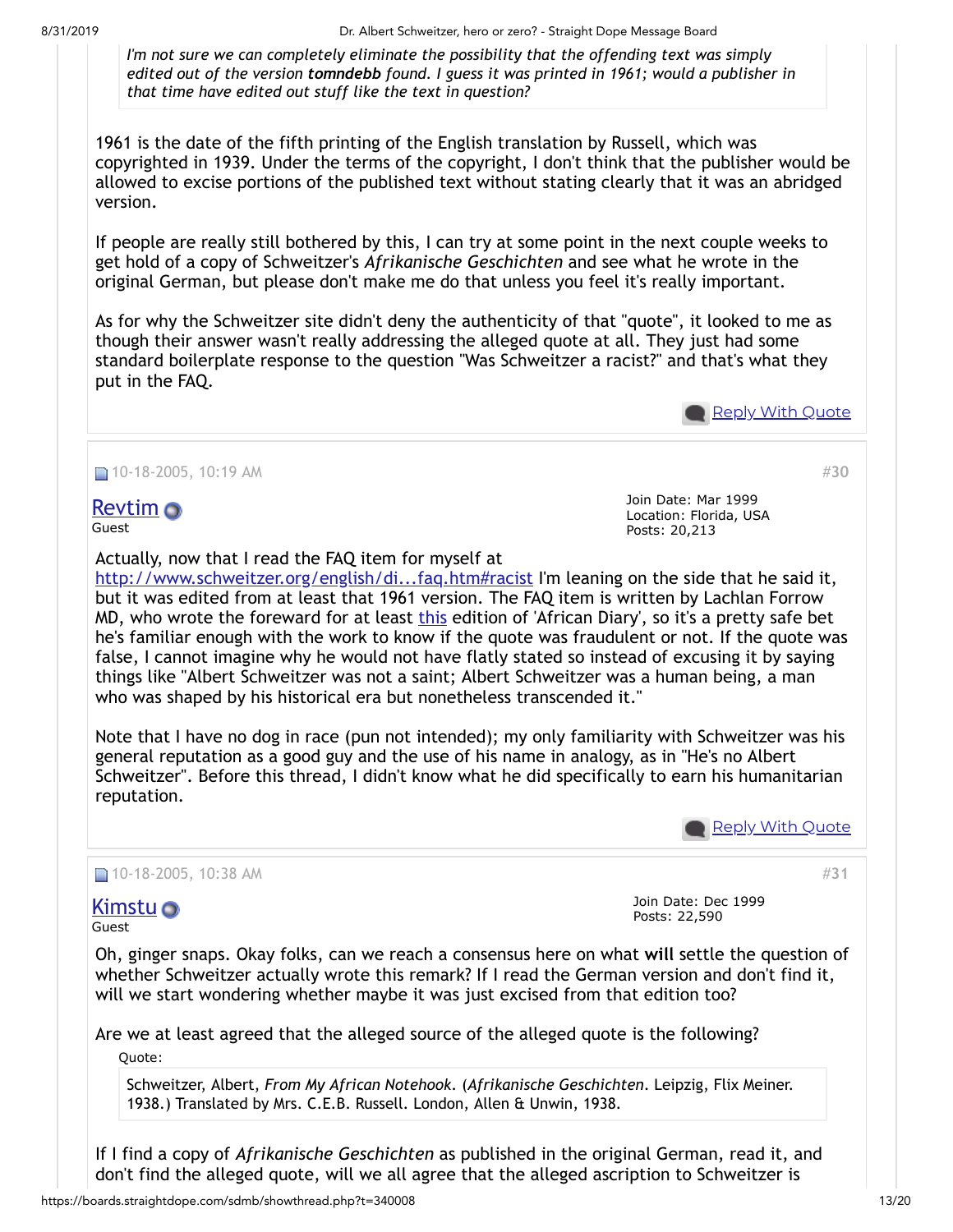8/31/2019 Dr. Albert Schweitzer, hero or zero? - Straight Dope Message Board

*I'm not sure we can completely eliminate the possibility that the offending text was simply edited out of the version tomndebb found. I guess it was printed in 1961; would a publisher in that time have edited out stuff like the text in question?*

1961 is the date of the fifth printing of the English translation by Russell, which was copyrighted in 1939. Under the terms of the copyright, I don't think that the publisher would be allowed to excise portions of the published text without stating clearly that it was an abridged version.

If people are really still bothered by this, I can try at some point in the next couple weeks to get hold of a copy of Schweitzer's *Afrikanische Geschichten* and see what he wrote in the original German, but please don't make me do that unless you feel it's really important.

As for why the Schweitzer site didn't deny the authenticity of that "quote", it looked to me as though their answer wasn't really addressing the alleged quote at all. They just had some standard boilerplate response to the question "Was Schweitzer a racist?" and that's what they put in the FAQ.

**Reply With [Quote](https://boards.straightdope.com/sdmb/newreply.php?do=newreply&p=6697404)** 

#**[30](https://boards.straightdope.com/sdmb/showpost.php?p=6697427&postcount=30)**

## $\Box$  10-18-2005, 10:19 AM

[Revtim](https://boards.straightdope.com/sdmb/member.php?u=300) Guest

Join Date: Mar 1999 Location: Florida, USA Posts: 20,213

Actually, now that I read the FAQ item for myself at

http://www.schweitzer.org/english/di...fag.htm#racist I'm leaning on the side that he said it, but it was edited from at least that 1961 version. The FAQ item is written by Lachlan Forrow MD, who wrote the foreward for at least [this](http://www.syracuseuniversitypress.syr.edu/spring-2002-catalog/african-notebooks.html) edition of 'African Diary', so it's a pretty safe bet he's familiar enough with the work to know if the quote was fraudulent or not. If the quote was false, I cannot imagine why he would not have flatly stated so instead of excusing it by saying things like "Albert Schweitzer was not a saint; Albert Schweitzer was a human being, a man who was shaped by his historical era but nonetheless transcended it."

Note that I have no dog in race (pun not intended); my only familiarity with Schweitzer was his general reputation as a good guy and the use of his name in analogy, as in "He's no Albert Schweitzer". Before this thread, I didn't know what he did specifically to earn his humanitarian reputation.

**Reply With [Quote](https://boards.straightdope.com/sdmb/newreply.php?do=newreply&p=6697427)** 

#**[31](https://boards.straightdope.com/sdmb/showpost.php?p=6697496&postcount=31)**

## $\Box$  10-18-2005, 10:38 AM

## [Kimstu](https://boards.straightdope.com/sdmb/member.php?u=3693) **o**

Guest

Join Date: Dec 1999 Posts: 22,590

Oh, ginger snaps. Okay folks, can we reach a consensus here on what **will** settle the question of whether Schweitzer actually wrote this remark? If I read the German version and don't find it, will we start wondering whether maybe it was just excised from that edition too?

Are we at least agreed that the alleged source of the alleged quote is the following? Quote:

Schweitzer, Albert, *From My African Notehook*. (*Afrikanische Geschichten*. Leipzig, Flix Meiner. 1938.) Translated by Mrs. C.E.B. Russell. London, Allen & Unwin, 1938.

If I find a copy of *Afrikanische Geschichten* as published in the original German, read it, and don't find the alleged quote, will we all agree that the alleged ascription to Schweitzer is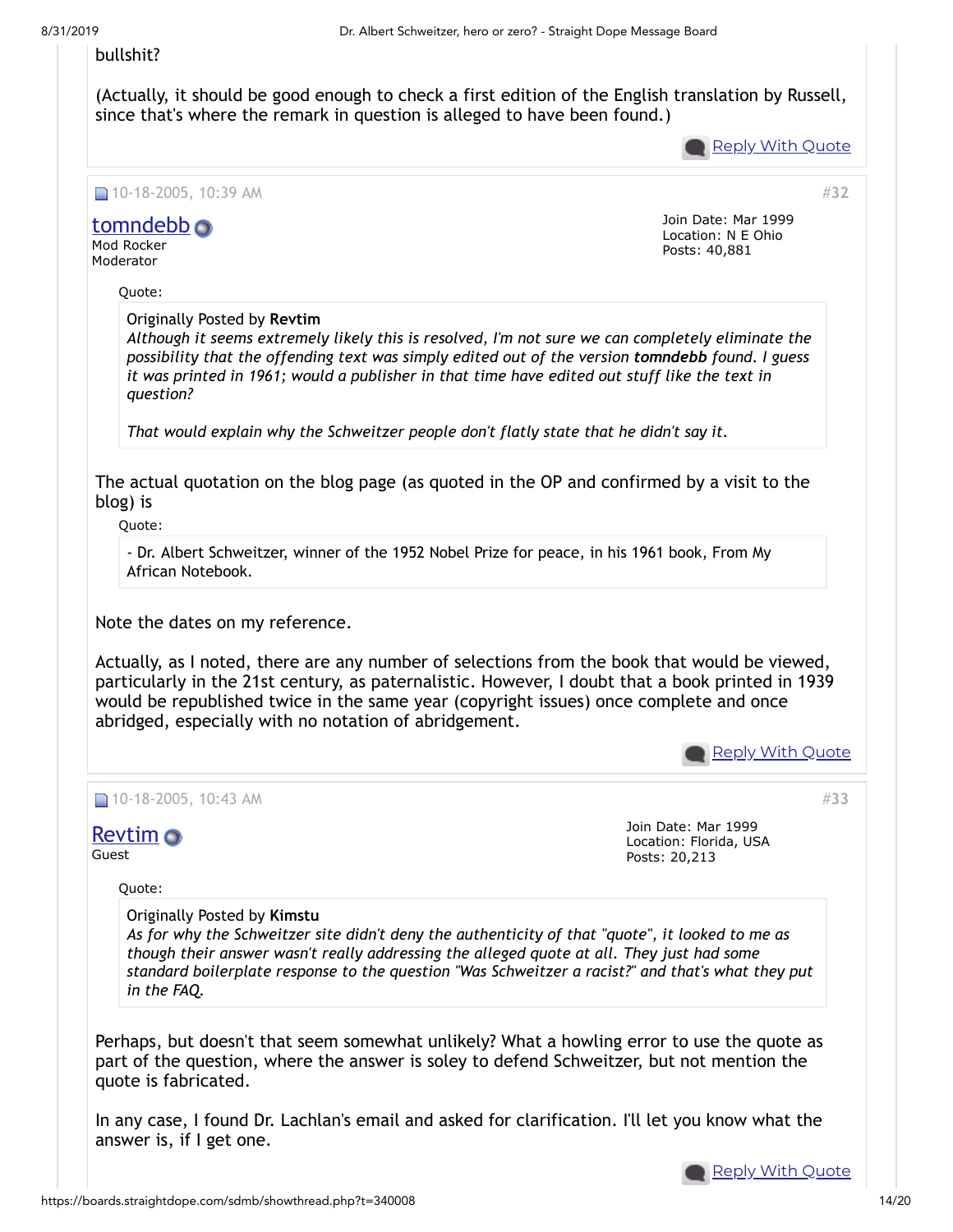### bullshit?

(Actually, it should be good enough to check a first edition of the English translation by Russell, since that's where the remark in question is alleged to have been found.)

**Reply With [Quote](https://boards.straightdope.com/sdmb/newreply.php?do=newreply&p=6697496)** 

Join Date: Mar 1999 Location: N E Ohio Posts: 40,881

 $\Box$  10-18-2005, 10:39 AM

## [tomndebb](https://boards.straightdope.com/sdmb/member.php?u=82)

Mod Rocker Moderator

Quote:

Originally Posted by **Revtim**

*Although it seems extremely likely this is resolved, I'm not sure we can completely eliminate the possibility that the offending text was simply edited out of the version tomndebb found. I guess it was printed in 1961; would a publisher in that time have edited out stuff like the text in question?*

*That would explain why the Schweitzer people don't flatly state that he didn't say it.*

The actual quotation on the blog page (as quoted in the OP and confirmed by a visit to the blog) is

Quote:

- Dr. Albert Schweitzer, winner of the 1952 Nobel Prize for peace, in his 1961 book, From My African Notebook.

Note the dates on my reference.

Actually, as I noted, there are any number of selections from the book that would be viewed, particularly in the 21st century, as paternalistic. However, I doubt that a book printed in 1939 would be republished twice in the same year (copyright issues) once complete and once abridged, especially with no notation of abridgement.

**Reply With [Quote](https://boards.straightdope.com/sdmb/newreply.php?do=newreply&p=6697497)** 

Join Date: Mar 1999 Location: Florida, USA

Posts: 20,213

 $\Box$  10-18-2005, 10:43 AM

## [Revtim](https://boards.straightdope.com/sdmb/member.php?u=300)

Guest

Quote:

Originally Posted by **Kimstu**

*As for why the Schweitzer site didn't deny the authenticity of that "quote", it looked to me as though their answer wasn't really addressing the alleged quote at all. They just had some standard boilerplate response to the question "Was Schweitzer a racist?" and that's what they put in the FAQ.*

Perhaps, but doesn't that seem somewhat unlikely? What a howling error to use the quote as part of the question, where the answer is soley to defend Schweitzer, but not mention the quote is fabricated.

In any case, I found Dr. Lachlan's email and asked for clarification. I'll let you know what the answer is, if I get one.



#**[33](https://boards.straightdope.com/sdmb/showpost.php?p=6697516&postcount=33)**

#**[32](https://boards.straightdope.com/sdmb/showpost.php?p=6697497&postcount=32)**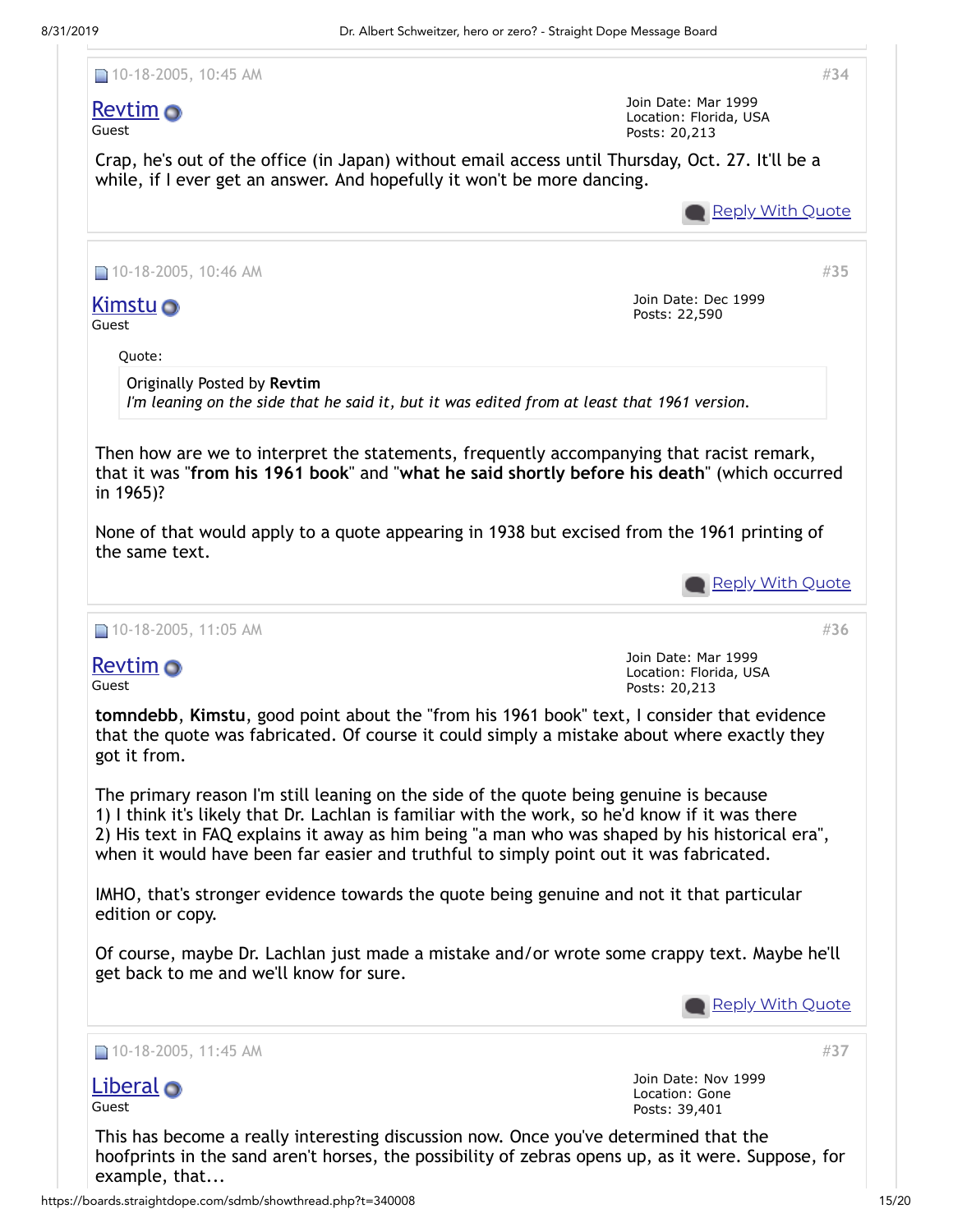

example, that...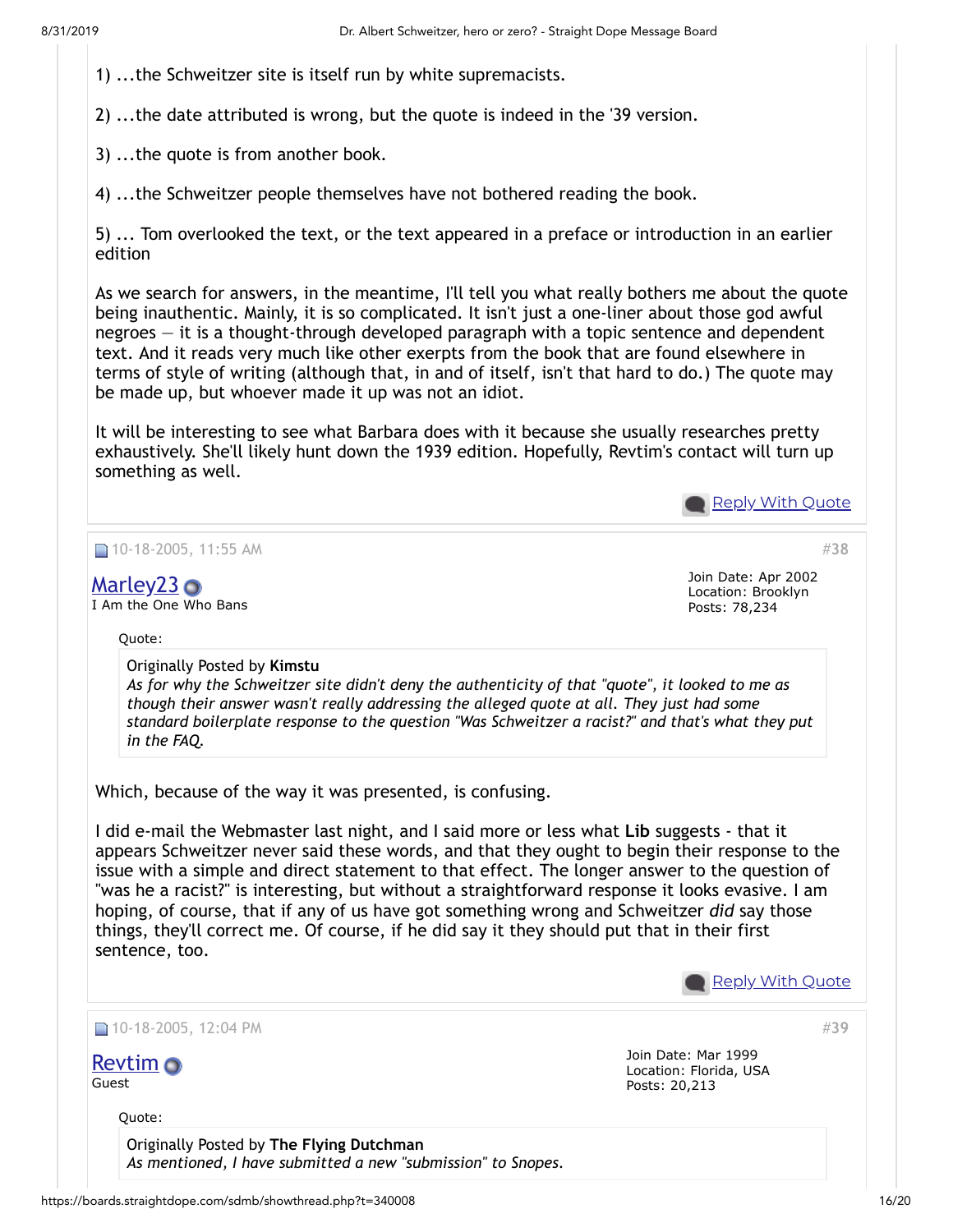1) ...the Schweitzer site is itself run by white supremacists.

2) ...the date attributed is wrong, but the quote is indeed in the '39 version.

3) ...the quote is from another book.

4) ...the Schweitzer people themselves have not bothered reading the book.

5) ... Tom overlooked the text, or the text appeared in a preface or introduction in an earlier edition

As we search for answers, in the meantime, I'll tell you what really bothers me about the quote being inauthentic. Mainly, it is so complicated. It isn't just a one-liner about those god awful negroes — it is a thought-through developed paragraph with a topic sentence and dependent text. And it reads very much like other exerpts from the book that are found elsewhere in terms of style of writing (although that, in and of itself, isn't that hard to do.) The quote may be made up, but whoever made it up was not an idiot.

It will be interesting to see what Barbara does with it because she usually researches pretty exhaustively. She'll likely hunt down the 1939 edition. Hopefully, Revtim's contact will turn up something as well.

Reply With [Quote](https://boards.straightdope.com/sdmb/newreply.php?do=newreply&p=6697738)

|                                                                                                                                                                                                                                                                                                                                                                                                                                                                                                                   | Join Date: Apr 2002                                            |
|-------------------------------------------------------------------------------------------------------------------------------------------------------------------------------------------------------------------------------------------------------------------------------------------------------------------------------------------------------------------------------------------------------------------------------------------------------------------------------------------------------------------|----------------------------------------------------------------|
| $M$ arley $23$ $\odot$<br>I Am the One Who Bans                                                                                                                                                                                                                                                                                                                                                                                                                                                                   | Location: Brooklyn<br>Posts: 78,234                            |
| Quote:                                                                                                                                                                                                                                                                                                                                                                                                                                                                                                            |                                                                |
| Originally Posted by Kimstu<br>As for why the Schweitzer site didn't deny the authenticity of that "quote", it looked to me as<br>though their answer wasn't really addressing the alleged quote at all. They just had some<br>standard boilerplate response to the question "Was Schweitzer a racist?" and that's what they put<br>in the FAQ.                                                                                                                                                                   |                                                                |
| Which, because of the way it was presented, is confusing.<br>I did e-mail the Webmaster last night, and I said more or less what Lib suggests - that it                                                                                                                                                                                                                                                                                                                                                           |                                                                |
| appears Schweitzer never said these words, and that they ought to begin their response to the<br>issue with a simple and direct statement to that effect. The longer answer to the question of<br>"was he a racist?" is interesting, but without a straightforward response it looks evasive. I am<br>hoping, of course, that if any of us have got something wrong and Schweitzer did say those<br>things, they'll correct me. Of course, if he did say it they should put that in their first<br>sentence, too. |                                                                |
|                                                                                                                                                                                                                                                                                                                                                                                                                                                                                                                   | <b>Reply With Quote</b>                                        |
|                                                                                                                                                                                                                                                                                                                                                                                                                                                                                                                   | #39                                                            |
| $\Box$ 10-18-2005, 12:04 PM<br><b>Revtim</b> o<br>Guest                                                                                                                                                                                                                                                                                                                                                                                                                                                           | Join Date: Mar 1999<br>Location: Florida, USA<br>Posts: 20,213 |
| Quote:                                                                                                                                                                                                                                                                                                                                                                                                                                                                                                            |                                                                |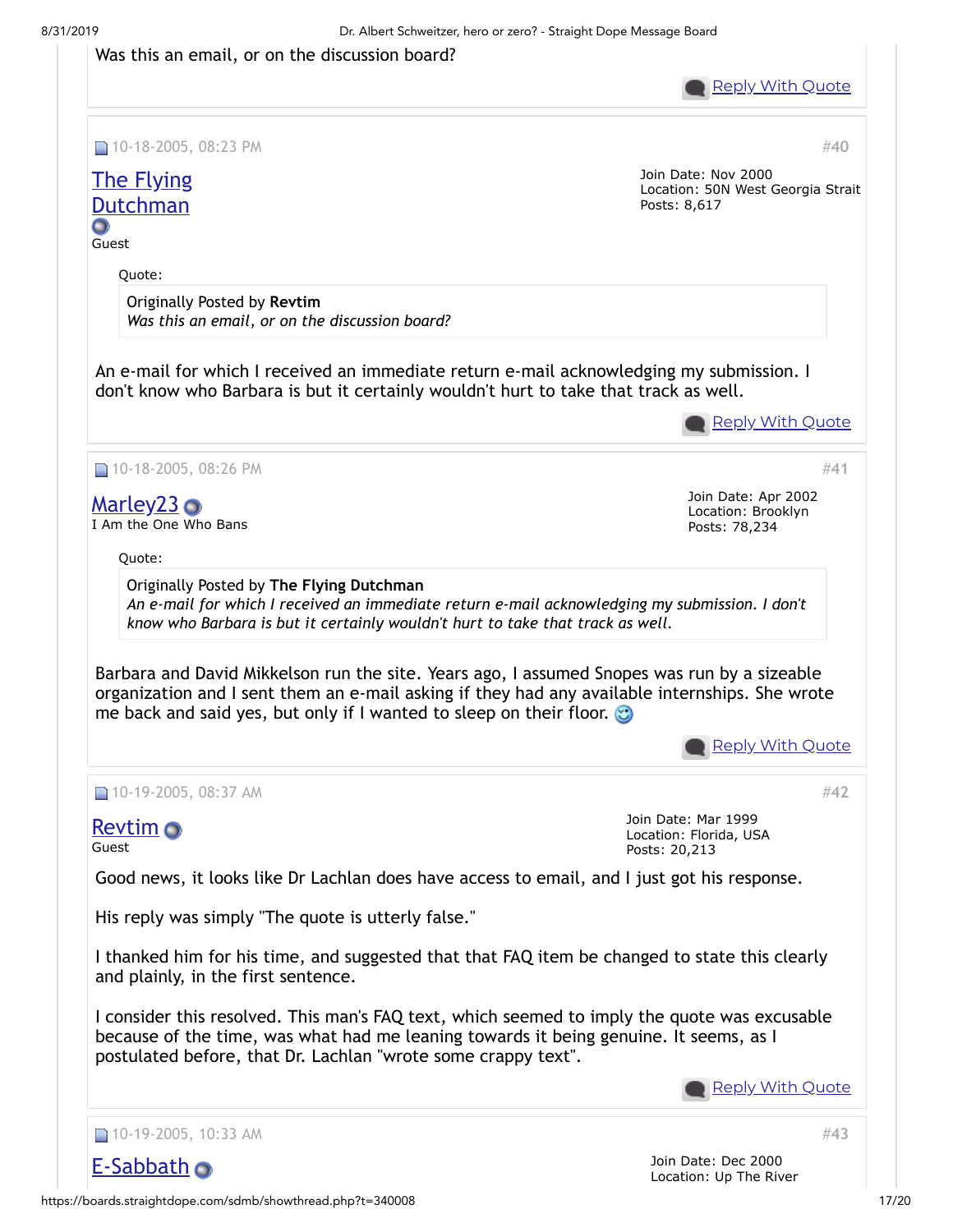### Was this an email, or on the discussion board?

**Reply With [Quote](https://boards.straightdope.com/sdmb/newreply.php?do=newreply&p=6697810)** 

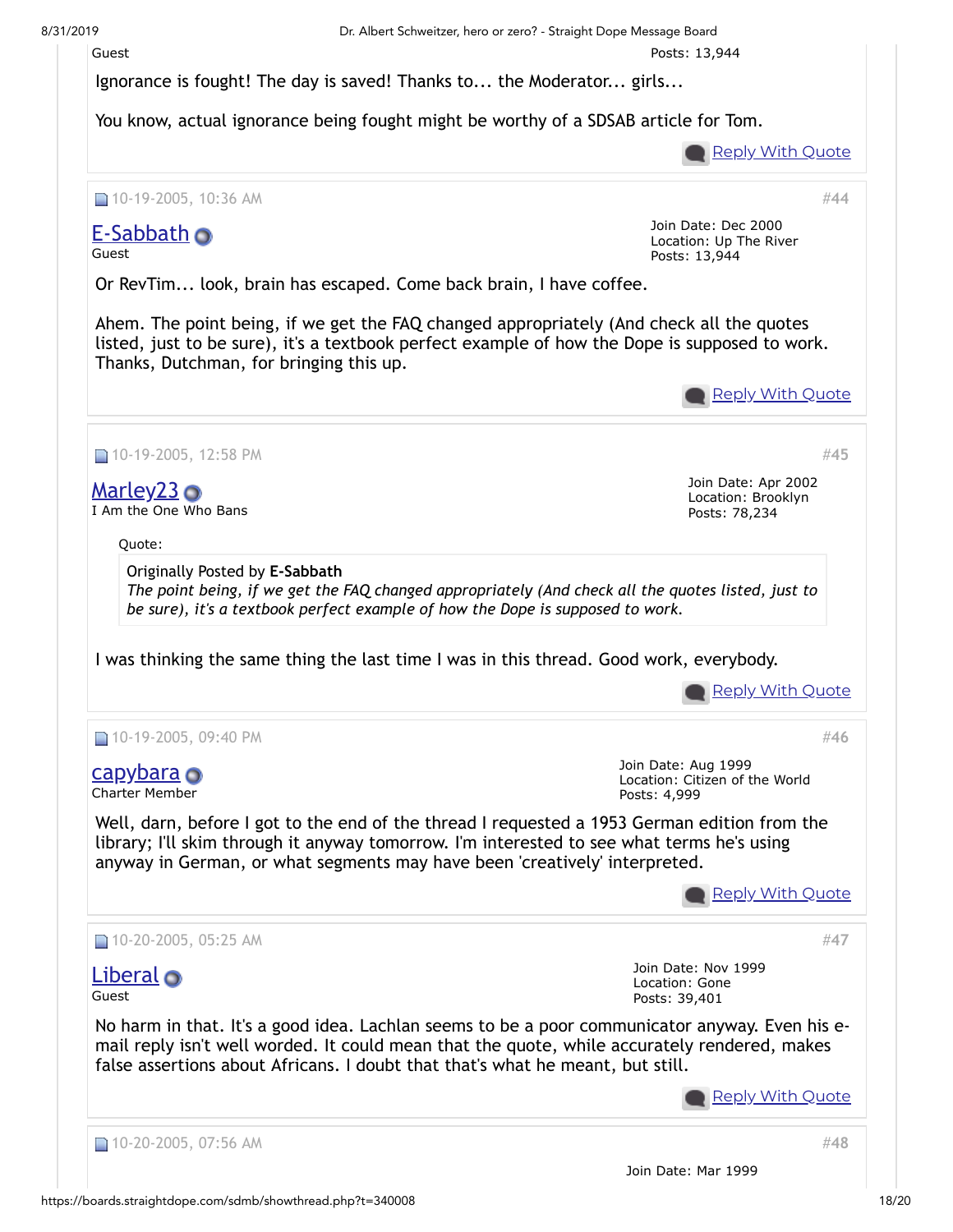

Ignorance is fought! The day is saved! Thanks to... the Moderator... girls...

You know, actual ignorance being fought might be worthy of a SDSAB article for Tom.



**Reply With [Quote](https://boards.straightdope.com/sdmb/newreply.php?do=newreply&p=6701206)** 

#**[44](https://boards.straightdope.com/sdmb/showpost.php?p=6701206&postcount=44)**

■ 10-19-2005, 10:36 AM

# [E-Sabbath](https://boards.straightdope.com/sdmb/member.php?u=11560) o

Guest

Join Date: Dec 2000 Location: Up The River Posts: 13,944

Or RevTim... look, brain has escaped. Come back brain, I have coffee.

Ahem. The point being, if we get the FAQ changed appropriately (And check all the quotes listed, just to be sure), it's a textbook perfect example of how the Dope is supposed to work. Thanks, Dutchman, for bringing this up.

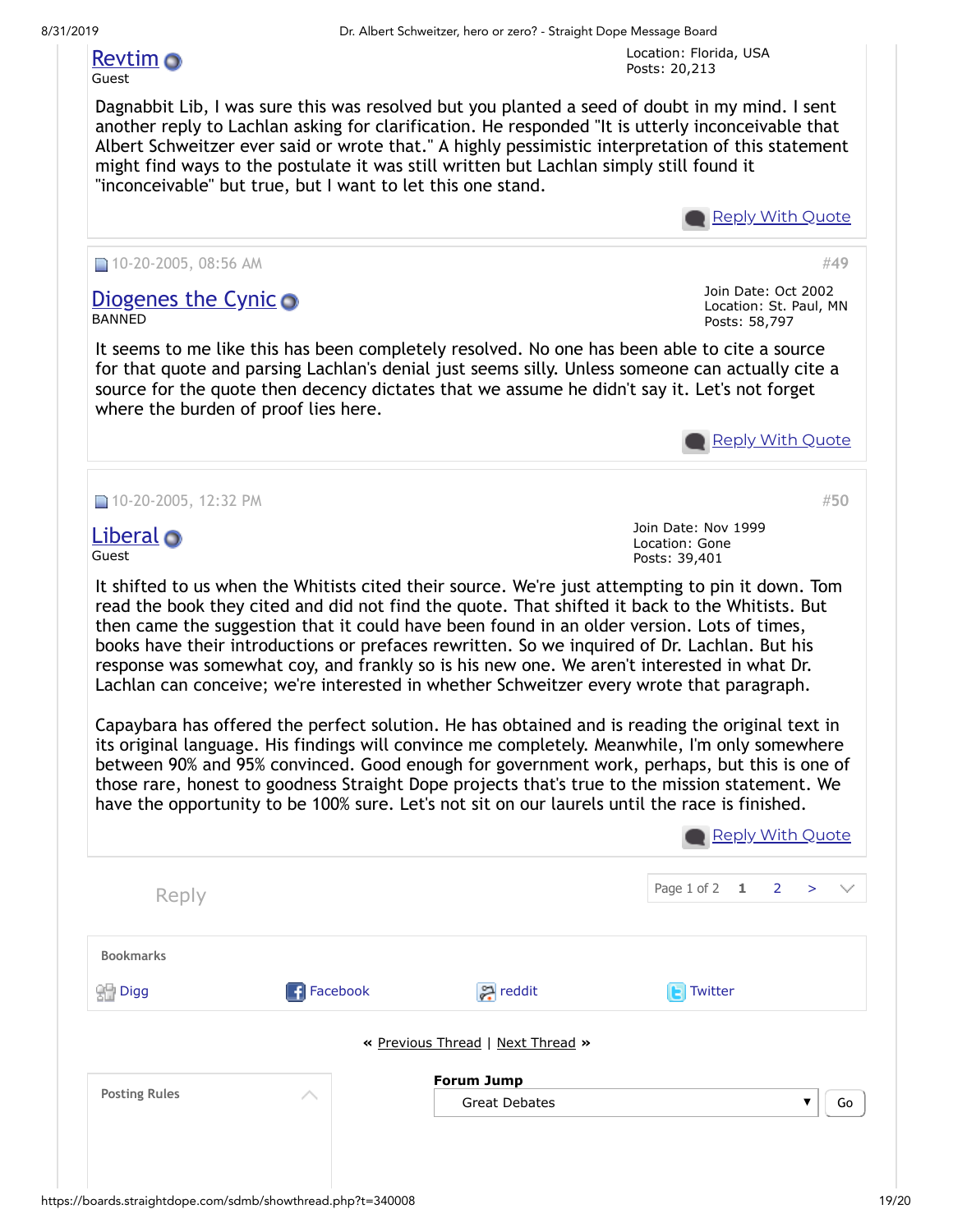Location: Florida, USA Posts: 20,213

# [Revtim](https://boards.straightdope.com/sdmb/member.php?u=300)

## Guest

Dagnabbit Lib, I was sure this was resolved but you planted a seed of doubt in my mind. I sent another reply to Lachlan asking for clarification. He responded "It is utterly inconceivable that Albert Schweitzer ever said or wrote that." A highly pessimistic interpretation of this statement might find ways to the postulate it was still written but Lachlan simply still found it "inconceivable" but true, but I want to let this one stand.

**Reply With [Quote](https://boards.straightdope.com/sdmb/newreply.php?do=newreply&p=6704717)** 

Join Date: Oct 2002 Location: St. Paul, MN

Posts: 58,797

#**[49](https://boards.straightdope.com/sdmb/showpost.php?p=6704895&postcount=49)**

#**[50](https://boards.straightdope.com/sdmb/showpost.php?p=6705775&postcount=50)**

### 10-20-2005, 08:56 AM

### [Diogenes](https://boards.straightdope.com/sdmb/member.php?u=25781) the Cynic BANNED

It seems to me like this has been completely resolved. No one has been able to cite a source for that quote and parsing Lachlan's denial just seems silly. Unless someone can actually cite a source for the quote then decency dictates that we assume he didn't say it. Let's not forget where the burden of proof lies here.



■ 10-20-2005, 12:32 PM

### [Liberal](https://boards.straightdope.com/sdmb/member.php?u=3284) Guest

Join Date: Nov 1999 Location: Gone Posts: 39,401

It shifted to us when the Whitists cited their source. We're just attempting to pin it down. Tom read the book they cited and did not find the quote. That shifted it back to the Whitists. But then came the suggestion that it could have been found in an older version. Lots of times, books have their introductions or prefaces rewritten. So we inquired of Dr. Lachlan. But his response was somewhat coy, and frankly so is his new one. We aren't interested in what Dr. Lachlan can conceive; we're interested in whether Schweitzer every wrote that paragraph.

Capaybara has offered the perfect solution. He has obtained and is reading the original text in its original language. His findings will convince me completely. Meanwhile, I'm only somewhere between 90% and 95% convinced. Good enough for government work, perhaps, but this is one of those rare, honest to goodness Straight Dope projects that's true to the mission statement. We have the opportunity to be 100% sure. Let's not sit on our laurels until the race is finished.

|                      |                   |                                   |                        | Reply With Quote |
|----------------------|-------------------|-----------------------------------|------------------------|------------------|
| Reply                |                   |                                   | Page 1 of 2 $1 \t 2 >$ | $\checkmark$     |
| <b>Bookmarks</b>     |                   |                                   |                        |                  |
| st Digg              | <b>R</b> Facebook | 유 reddit                          | Twitter<br>r.          |                  |
|                      |                   | « Previous Thread   Next Thread » |                        |                  |
|                      |                   | <b>Forum Jump</b>                 |                        |                  |
| <b>Posting Rules</b> | ∧                 | <b>Great Debates</b>              |                        | Go<br>▼          |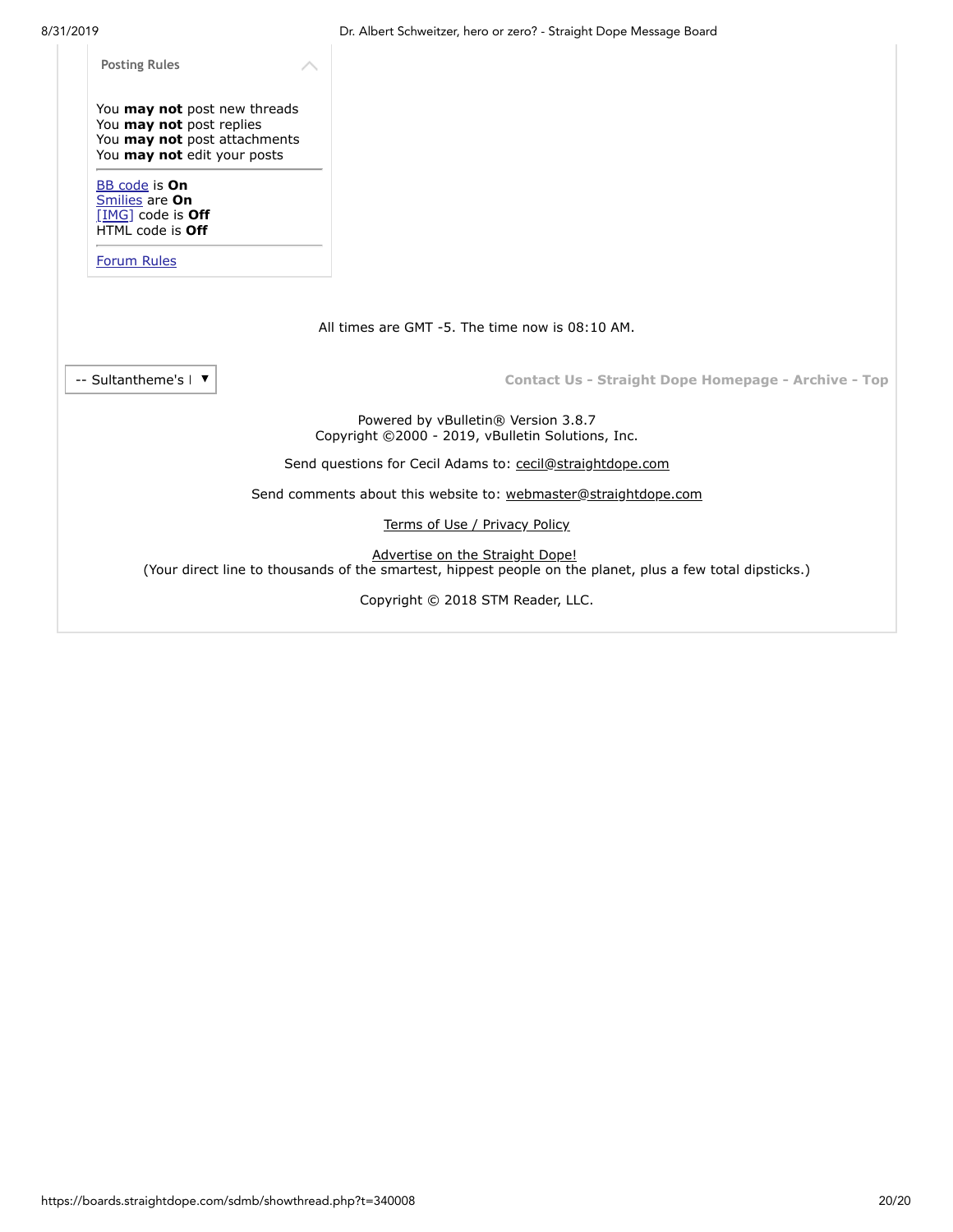| <b>Posting Rules</b>                                                                                                    |                                                                                                                                               |  |
|-------------------------------------------------------------------------------------------------------------------------|-----------------------------------------------------------------------------------------------------------------------------------------------|--|
| You may not post new threads<br>You may not post replies<br>You may not post attachments<br>You may not edit your posts |                                                                                                                                               |  |
| <b>BB</b> code is <b>On</b><br>Smilies are On<br>[IMG] code is Off<br>HTML code is Off                                  |                                                                                                                                               |  |
| <b>Forum Rules</b>                                                                                                      |                                                                                                                                               |  |
|                                                                                                                         |                                                                                                                                               |  |
|                                                                                                                         | All times are GMT -5. The time now is 08:10 AM.                                                                                               |  |
| -- Sultantheme's   ▼                                                                                                    | <b>Contact Us - Straight Dope Homepage - Archive - Top</b>                                                                                    |  |
|                                                                                                                         | Powered by vBulletin® Version 3.8.7<br>Copyright ©2000 - 2019, vBulletin Solutions, Inc.                                                      |  |
|                                                                                                                         | Send questions for Cecil Adams to: cecil@straightdope.com                                                                                     |  |
|                                                                                                                         | Send comments about this website to: webmaster@straightdope.com                                                                               |  |
|                                                                                                                         | Terms of Use / Privacy Policy                                                                                                                 |  |
|                                                                                                                         | Advertise on the Straight Dope!<br>(Your direct line to thousands of the smartest, hippest people on the planet, plus a few total dipsticks.) |  |
|                                                                                                                         | Copyright © 2018 STM Reader, LLC.                                                                                                             |  |
|                                                                                                                         |                                                                                                                                               |  |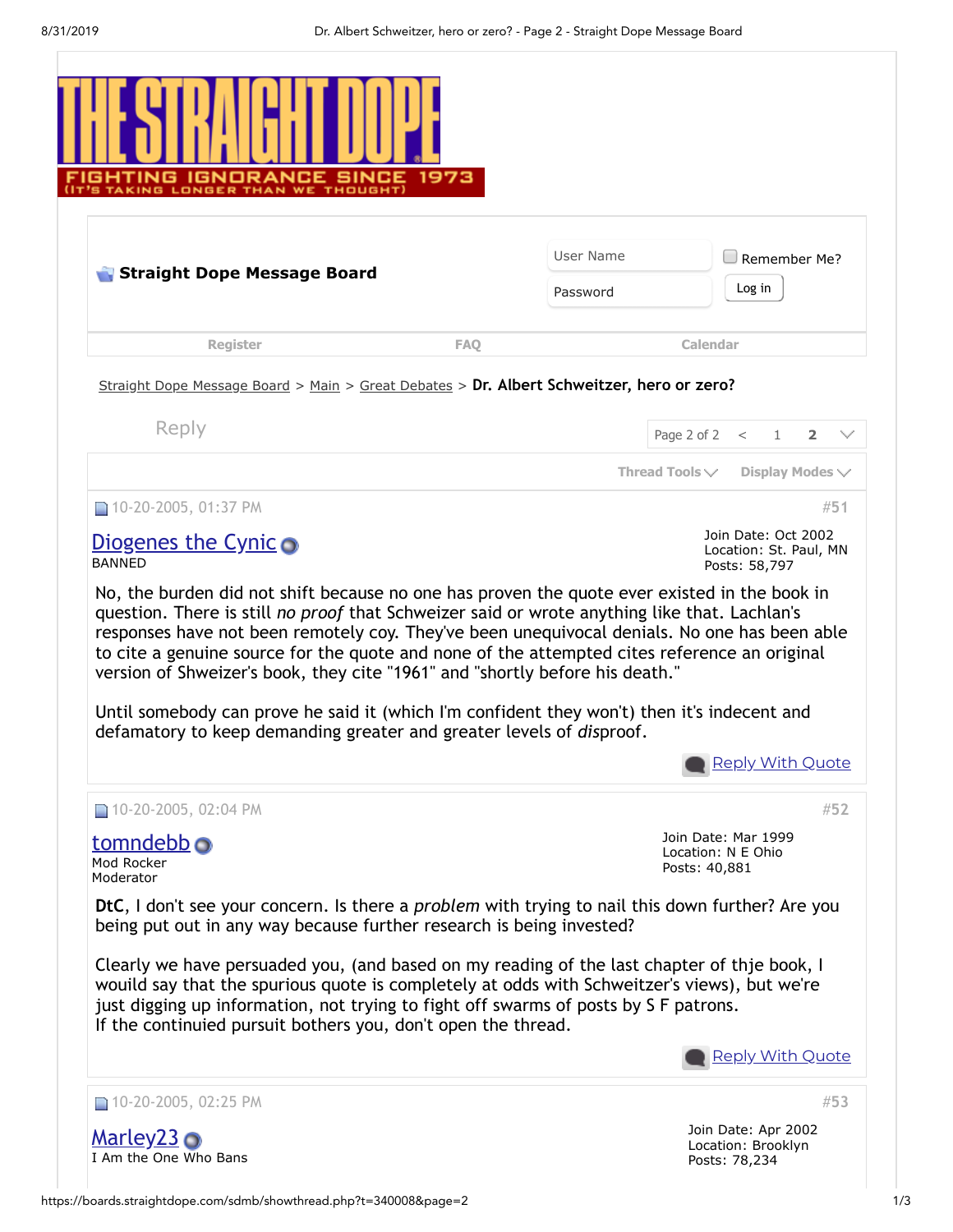<span id="page-20-0"></span>

|                                                                                                                                                                                                                                                                                                                                                                                                                                                                                                                                                                                                                                                                                                                                                                                                                                                                                                                                                                                                                                                                                                                                                                                                                                                                                         | User Name  |                     | Remember Me?                                      |
|-----------------------------------------------------------------------------------------------------------------------------------------------------------------------------------------------------------------------------------------------------------------------------------------------------------------------------------------------------------------------------------------------------------------------------------------------------------------------------------------------------------------------------------------------------------------------------------------------------------------------------------------------------------------------------------------------------------------------------------------------------------------------------------------------------------------------------------------------------------------------------------------------------------------------------------------------------------------------------------------------------------------------------------------------------------------------------------------------------------------------------------------------------------------------------------------------------------------------------------------------------------------------------------------|------------|---------------------|---------------------------------------------------|
| Straight Dope Message Board                                                                                                                                                                                                                                                                                                                                                                                                                                                                                                                                                                                                                                                                                                                                                                                                                                                                                                                                                                                                                                                                                                                                                                                                                                                             | Password   |                     | Log in                                            |
| <b>Register</b>                                                                                                                                                                                                                                                                                                                                                                                                                                                                                                                                                                                                                                                                                                                                                                                                                                                                                                                                                                                                                                                                                                                                                                                                                                                                         | <b>FAO</b> | Calendar            |                                                   |
| Straight Dope Message Board > Main > Great Debates > Dr. Albert Schweitzer, hero or zero?                                                                                                                                                                                                                                                                                                                                                                                                                                                                                                                                                                                                                                                                                                                                                                                                                                                                                                                                                                                                                                                                                                                                                                                               |            |                     |                                                   |
| Reply                                                                                                                                                                                                                                                                                                                                                                                                                                                                                                                                                                                                                                                                                                                                                                                                                                                                                                                                                                                                                                                                                                                                                                                                                                                                                   |            |                     | Page 2 of 2 $\lt$ 1<br>$\overline{2}$             |
|                                                                                                                                                                                                                                                                                                                                                                                                                                                                                                                                                                                                                                                                                                                                                                                                                                                                                                                                                                                                                                                                                                                                                                                                                                                                                         |            | Thread Tools $\vee$ | Display Modes $\vee$                              |
| $\Box$ 10-20-2005, 01:37 PM                                                                                                                                                                                                                                                                                                                                                                                                                                                                                                                                                                                                                                                                                                                                                                                                                                                                                                                                                                                                                                                                                                                                                                                                                                                             |            |                     | #51                                               |
| Diogenes the Cynic $\bullet$                                                                                                                                                                                                                                                                                                                                                                                                                                                                                                                                                                                                                                                                                                                                                                                                                                                                                                                                                                                                                                                                                                                                                                                                                                                            |            |                     | Join Date: Oct 2002                               |
|                                                                                                                                                                                                                                                                                                                                                                                                                                                                                                                                                                                                                                                                                                                                                                                                                                                                                                                                                                                                                                                                                                                                                                                                                                                                                         |            |                     | Posts: 58,797                                     |
|                                                                                                                                                                                                                                                                                                                                                                                                                                                                                                                                                                                                                                                                                                                                                                                                                                                                                                                                                                                                                                                                                                                                                                                                                                                                                         |            |                     |                                                   |
|                                                                                                                                                                                                                                                                                                                                                                                                                                                                                                                                                                                                                                                                                                                                                                                                                                                                                                                                                                                                                                                                                                                                                                                                                                                                                         |            |                     | Location: St. Paul, MN<br><b>Reply With Quote</b> |
|                                                                                                                                                                                                                                                                                                                                                                                                                                                                                                                                                                                                                                                                                                                                                                                                                                                                                                                                                                                                                                                                                                                                                                                                                                                                                         |            |                     | #52                                               |
|                                                                                                                                                                                                                                                                                                                                                                                                                                                                                                                                                                                                                                                                                                                                                                                                                                                                                                                                                                                                                                                                                                                                                                                                                                                                                         |            | Posts: 40,881       | Join Date: Mar 1999<br>Location: N E Ohio         |
|                                                                                                                                                                                                                                                                                                                                                                                                                                                                                                                                                                                                                                                                                                                                                                                                                                                                                                                                                                                                                                                                                                                                                                                                                                                                                         |            |                     |                                                   |
| <b>BANNED</b><br>No, the burden did not shift because no one has proven the quote ever existed in the book in<br>question. There is still no proof that Schweizer said or wrote anything like that. Lachlan's<br>responses have not been remotely coy. They've been unequivocal denials. No one has been able<br>to cite a genuine source for the quote and none of the attempted cites reference an original<br>version of Shweizer's book, they cite "1961" and "shortly before his death."<br>Until somebody can prove he said it (which I'm confident they won't) then it's indecent and<br>defamatory to keep demanding greater and greater levels of disproof.<br>10-20-2005, 02:04 PM<br><u>tomndebb</u> o<br>Mod Rocker<br>Moderator<br>DtC, I don't see your concern. Is there a <i>problem</i> with trying to nail this down further? Are you<br>being put out in any way because further research is being invested?<br>Clearly we have persuaded you, (and based on my reading of the last chapter of thje book, I<br>wouild say that the spurious quote is completely at odds with Schweitzer's views), but we're<br>just digging up information, not trying to fight off swarms of posts by S F patrons.<br>If the continuied pursuit bothers you, don't open the thread. |            |                     |                                                   |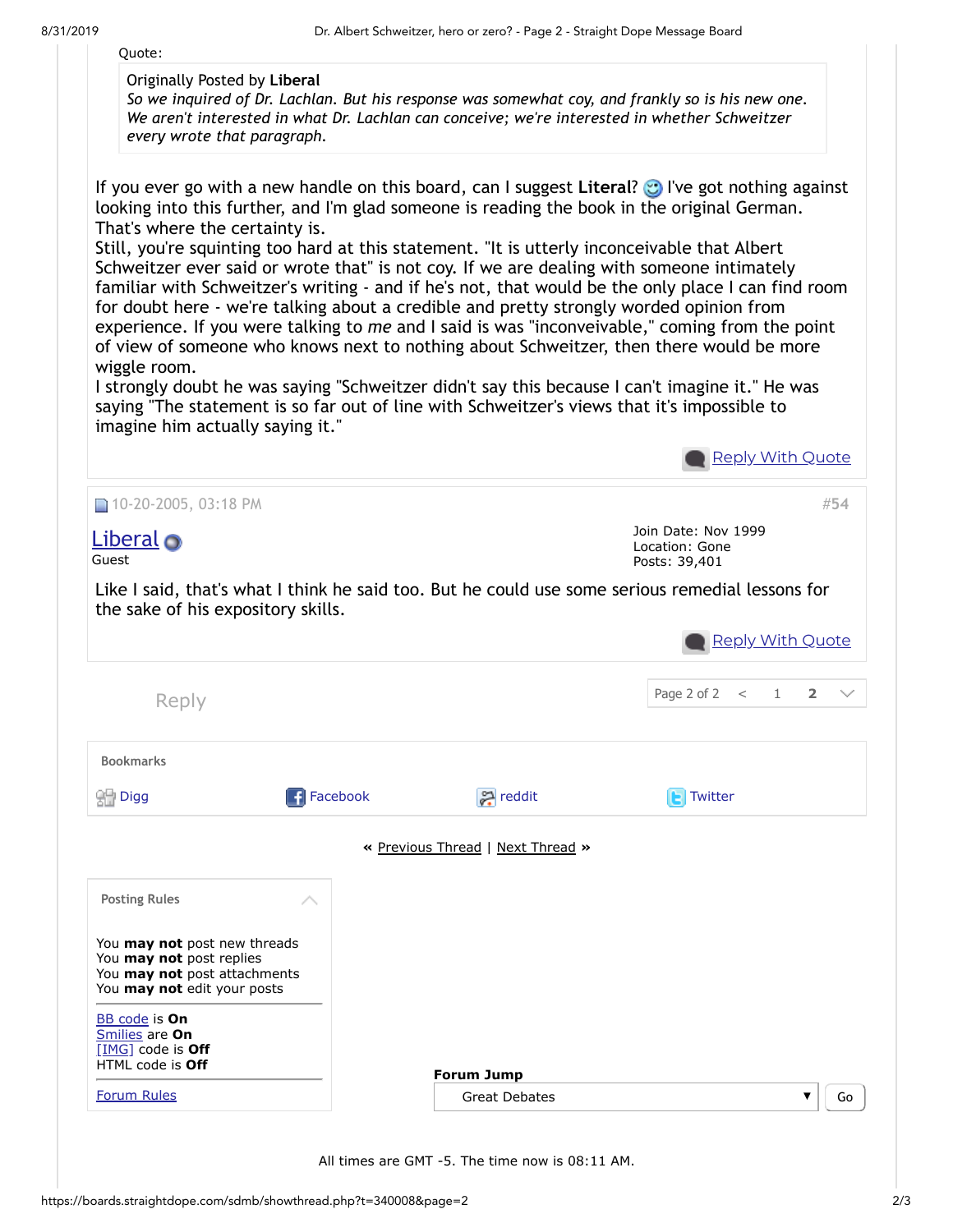

All times are GMT -5. The time now is 08:11 AM.